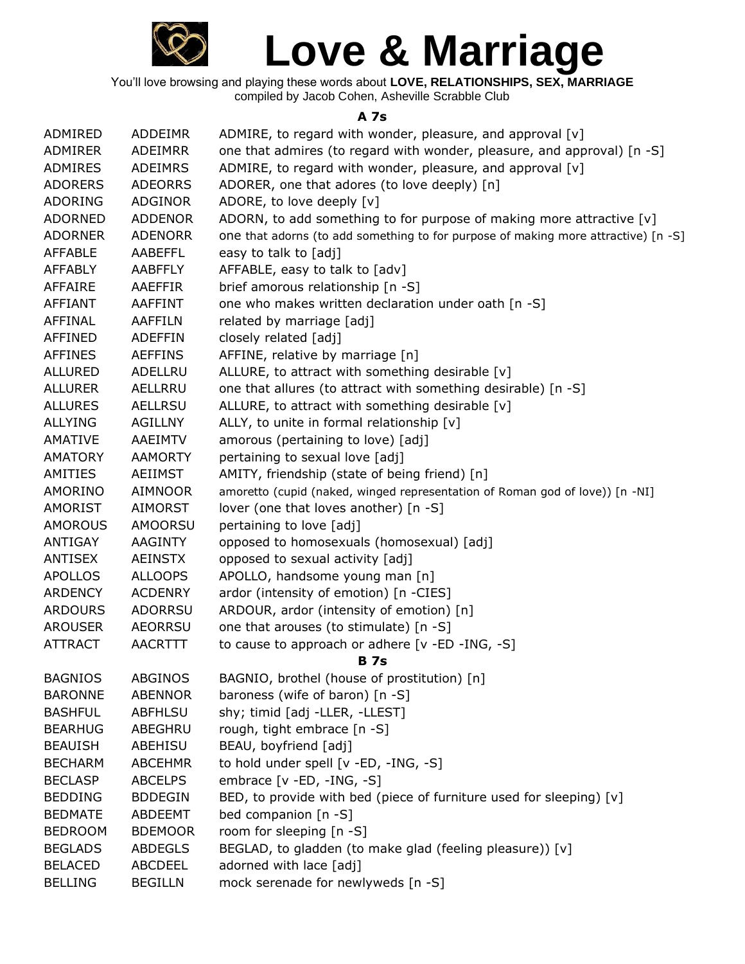

You'll love browsing and playing these words about **LOVE, RELATIONSHIPS, SEX, MARRIAGE** compiled by Jacob Cohen, Asheville Scrabble Club

## **A 7s**

| ADMIRED        | ADDEIMR        | ADMIRE, to regard with wonder, pleasure, and approval [v]                          |
|----------------|----------------|------------------------------------------------------------------------------------|
| ADMIRER        | <b>ADEIMRR</b> | one that admires (to regard with wonder, pleasure, and approval) [n -S]            |
| <b>ADMIRES</b> | <b>ADEIMRS</b> | ADMIRE, to regard with wonder, pleasure, and approval [v]                          |
| <b>ADORERS</b> | <b>ADEORRS</b> | ADORER, one that adores (to love deeply) [n]                                       |
| ADORING        | <b>ADGINOR</b> | ADORE, to love deeply [v]                                                          |
| <b>ADORNED</b> | <b>ADDENOR</b> | ADORN, to add something to for purpose of making more attractive [v]               |
| <b>ADORNER</b> | <b>ADENORR</b> | one that adorns (to add something to for purpose of making more attractive) [n -S] |
| <b>AFFABLE</b> | AABEFFL        | easy to talk to [adj]                                                              |
| <b>AFFABLY</b> | <b>AABFFLY</b> | AFFABLE, easy to talk to [adv]                                                     |
| <b>AFFAIRE</b> | <b>AAEFFIR</b> | brief amorous relationship [n -S]                                                  |
| <b>AFFIANT</b> | <b>AAFFINT</b> | one who makes written declaration under oath [n -S]                                |
| AFFINAL        | <b>AAFFILN</b> | related by marriage [adj]                                                          |
| <b>AFFINED</b> | <b>ADEFFIN</b> | closely related [adj]                                                              |
| <b>AFFINES</b> | <b>AEFFINS</b> | AFFINE, relative by marriage [n]                                                   |
| <b>ALLURED</b> | ADELLRU        | ALLURE, to attract with something desirable $[v]$                                  |
| <b>ALLURER</b> | AELLRRU        | one that allures (to attract with something desirable) [n -S]                      |
| <b>ALLURES</b> | <b>AELLRSU</b> | ALLURE, to attract with something desirable [v]                                    |
| <b>ALLYING</b> | <b>AGILLNY</b> | ALLY, to unite in formal relationship [v]                                          |
| <b>AMATIVE</b> | AAEIMTV        | amorous (pertaining to love) [adj]                                                 |
| <b>AMATORY</b> | <b>AAMORTY</b> | pertaining to sexual love [adj]                                                    |
| AMITIES        | <b>AEIIMST</b> | AMITY, friendship (state of being friend) [n]                                      |
| AMORINO        | <b>AIMNOOR</b> | amoretto (cupid (naked, winged representation of Roman god of love)) [n -NI]       |
| <b>AMORIST</b> | <b>AIMORST</b> | lover (one that loves another) [n -S]                                              |
| <b>AMOROUS</b> | <b>AMOORSU</b> | pertaining to love [adj]                                                           |
| <b>ANTIGAY</b> | <b>AAGINTY</b> | opposed to homosexuals (homosexual) [adj]                                          |
| <b>ANTISEX</b> | <b>AEINSTX</b> | opposed to sexual activity [adj]                                                   |
| <b>APOLLOS</b> | <b>ALLOOPS</b> | APOLLO, handsome young man [n]                                                     |
| <b>ARDENCY</b> | <b>ACDENRY</b> | ardor (intensity of emotion) [n -CIES]                                             |
| <b>ARDOURS</b> | <b>ADORRSU</b> | ARDOUR, ardor (intensity of emotion) [n]                                           |
| <b>AROUSER</b> | <b>AEORRSU</b> | one that arouses (to stimulate) [n -S]                                             |
| <b>ATTRACT</b> | <b>AACRTTT</b> | to cause to approach or adhere [v -ED -ING, -S]                                    |
|                |                | <b>B</b> 7s                                                                        |
| <b>BAGNIOS</b> | ABGINOS        | BAGNIO, brothel (house of prostitution) [n]                                        |
| <b>BARONNE</b> | <b>ABENNOR</b> | baroness (wife of baron) [n -S]                                                    |
| <b>BASHFUL</b> | <b>ABFHLSU</b> | shy; timid [adj -LLER, -LLEST]                                                     |
| <b>BEARHUG</b> | ABEGHRU        | rough, tight embrace [n -S]                                                        |
| <b>BEAUISH</b> | ABEHISU        | BEAU, boyfriend [adj]                                                              |
| <b>BECHARM</b> | <b>ABCEHMR</b> | to hold under spell [v -ED, -ING, -S]                                              |
| <b>BECLASP</b> | <b>ABCELPS</b> | embrace [v -ED, -ING, -S]                                                          |
| <b>BEDDING</b> | <b>BDDEGIN</b> | BED, to provide with bed (piece of furniture used for sleeping) [v]                |
| <b>BEDMATE</b> | ABDEEMT        | bed companion [n -S]                                                               |
| <b>BEDROOM</b> | <b>BDEMOOR</b> | room for sleeping [n -S]                                                           |
| <b>BEGLADS</b> | <b>ABDEGLS</b> | BEGLAD, to gladden (to make glad (feeling pleasure)) [v]                           |
| <b>BELACED</b> | <b>ABCDEEL</b> | adorned with lace [adj]                                                            |
| <b>BELLING</b> | <b>BEGILLN</b> | mock serenade for newlyweds [n -S]                                                 |
|                |                |                                                                                    |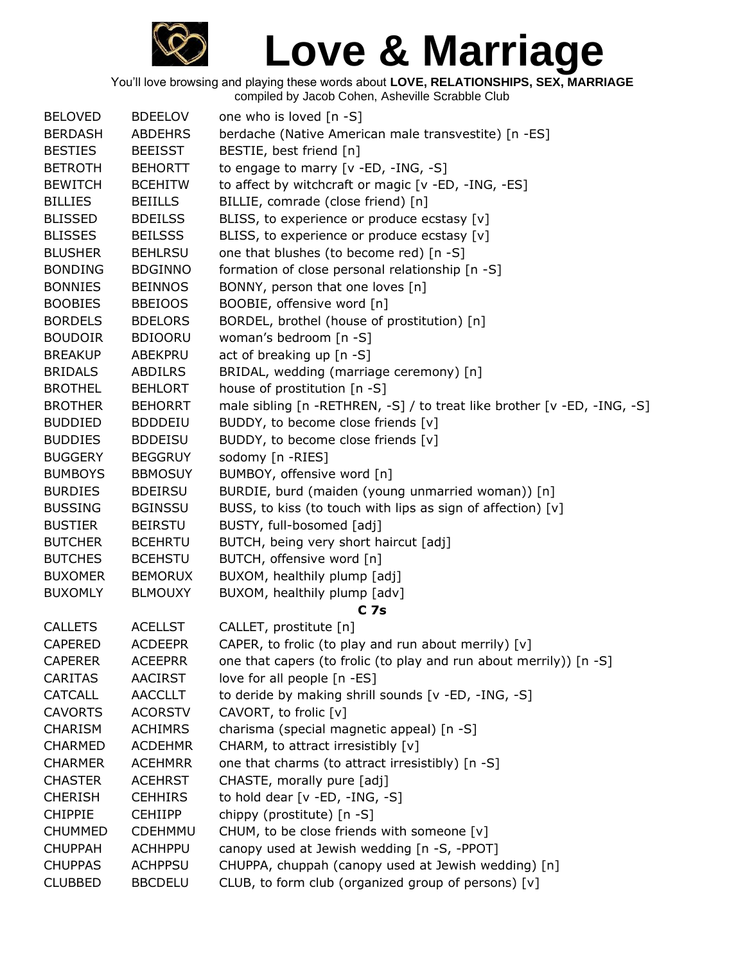

| <b>BELOVED</b> | <b>BDEELOV</b> | one who is loved [n -S]                                                 |
|----------------|----------------|-------------------------------------------------------------------------|
| <b>BERDASH</b> | <b>ABDEHRS</b> | berdache (Native American male transvestite) [n -ES]                    |
| <b>BESTIES</b> | <b>BEEISST</b> | BESTIE, best friend [n]                                                 |
| <b>BETROTH</b> | <b>BEHORTT</b> | to engage to marry [v -ED, -ING, -S]                                    |
| <b>BEWITCH</b> | <b>BCEHITW</b> | to affect by witchcraft or magic [v -ED, -ING, -ES]                     |
| <b>BILLIES</b> | <b>BEIILLS</b> | BILLIE, comrade (close friend) [n]                                      |
| <b>BLISSED</b> | <b>BDEILSS</b> | BLISS, to experience or produce ecstasy [v]                             |
| <b>BLISSES</b> | <b>BEILSSS</b> | BLISS, to experience or produce ecstasy [v]                             |
| <b>BLUSHER</b> | <b>BEHLRSU</b> | one that blushes (to become red) [n -S]                                 |
| <b>BONDING</b> | <b>BDGINNO</b> | formation of close personal relationship [n -S]                         |
| <b>BONNIES</b> | <b>BEINNOS</b> | BONNY, person that one loves [n]                                        |
| <b>BOOBIES</b> | <b>BBEIOOS</b> | BOOBIE, offensive word [n]                                              |
| <b>BORDELS</b> | <b>BDELORS</b> | BORDEL, brothel (house of prostitution) [n]                             |
| <b>BOUDOIR</b> | <b>BDIOORU</b> | woman's bedroom [n -S]                                                  |
|                |                |                                                                         |
| <b>BREAKUP</b> | ABEKPRU        | act of breaking up [n -S]                                               |
| <b>BRIDALS</b> | <b>ABDILRS</b> | BRIDAL, wedding (marriage ceremony) [n]                                 |
| <b>BROTHEL</b> | <b>BEHLORT</b> | house of prostitution [n -S]                                            |
| <b>BROTHER</b> | <b>BEHORRT</b> | male sibling [n -RETHREN, -S] / to treat like brother [v -ED, -ING, -S] |
| <b>BUDDIED</b> | <b>BDDDEIU</b> | BUDDY, to become close friends [v]                                      |
| <b>BUDDIES</b> | <b>BDDEISU</b> | BUDDY, to become close friends [v]                                      |
| <b>BUGGERY</b> | <b>BEGGRUY</b> | sodomy [n -RIES]                                                        |
| <b>BUMBOYS</b> | <b>BBMOSUY</b> | BUMBOY, offensive word [n]                                              |
| <b>BURDIES</b> | <b>BDEIRSU</b> | BURDIE, burd (maiden (young unmarried woman)) [n]                       |
| <b>BUSSING</b> | <b>BGINSSU</b> | BUSS, to kiss (to touch with lips as sign of affection) [v]             |
| <b>BUSTIER</b> | <b>BEIRSTU</b> | BUSTY, full-bosomed [adj]                                               |
| <b>BUTCHER</b> | <b>BCEHRTU</b> | BUTCH, being very short haircut [adj]                                   |
| <b>BUTCHES</b> | <b>BCEHSTU</b> | BUTCH, offensive word [n]                                               |
| <b>BUXOMER</b> | <b>BEMORUX</b> | BUXOM, healthily plump [adj]                                            |
| <b>BUXOMLY</b> | <b>BLMOUXY</b> | BUXOM, healthily plump [adv]                                            |
|                |                | C <sub>7s</sub>                                                         |
| <b>CALLETS</b> | <b>ACELLST</b> | CALLET, prostitute [n]                                                  |
| <b>CAPERED</b> | <b>ACDEEPR</b> | CAPER, to frolic (to play and run about merrily) [v]                    |
| <b>CAPERER</b> | <b>ACEEPRR</b> | one that capers (to frolic (to play and run about merrily)) [n -S]      |
|                |                |                                                                         |
| <b>CARITAS</b> | <b>AACIRST</b> | love for all people [n -ES]                                             |
| <b>CATCALL</b> | <b>AACCLLT</b> | to deride by making shrill sounds [v -ED, -ING, -S]                     |
| <b>CAVORTS</b> | <b>ACORSTV</b> | CAVORT, to frolic [v]                                                   |
| <b>CHARISM</b> | <b>ACHIMRS</b> | charisma (special magnetic appeal) [n -S]                               |
| <b>CHARMED</b> | <b>ACDEHMR</b> | CHARM, to attract irresistibly [v]                                      |
| <b>CHARMER</b> | <b>ACEHMRR</b> | one that charms (to attract irresistibly) [n -S]                        |
| <b>CHASTER</b> | <b>ACEHRST</b> | CHASTE, morally pure [adj]                                              |
| <b>CHERISH</b> | <b>CEHHIRS</b> | to hold dear $[v - ED, -ING, -S]$                                       |
| <b>CHIPPIE</b> | <b>CEHIIPP</b> | chippy (prostitute) [n -S]                                              |
| <b>CHUMMED</b> | CDEHMMU        | CHUM, to be close friends with someone [v]                              |
| <b>CHUPPAH</b> | <b>ACHHPPU</b> | canopy used at Jewish wedding [n -S, -PPOT]                             |
| <b>CHUPPAS</b> | <b>ACHPPSU</b> | CHUPPA, chuppah (canopy used at Jewish wedding) [n]                     |
| <b>CLUBBED</b> | <b>BBCDELU</b> | CLUB, to form club (organized group of persons) [v]                     |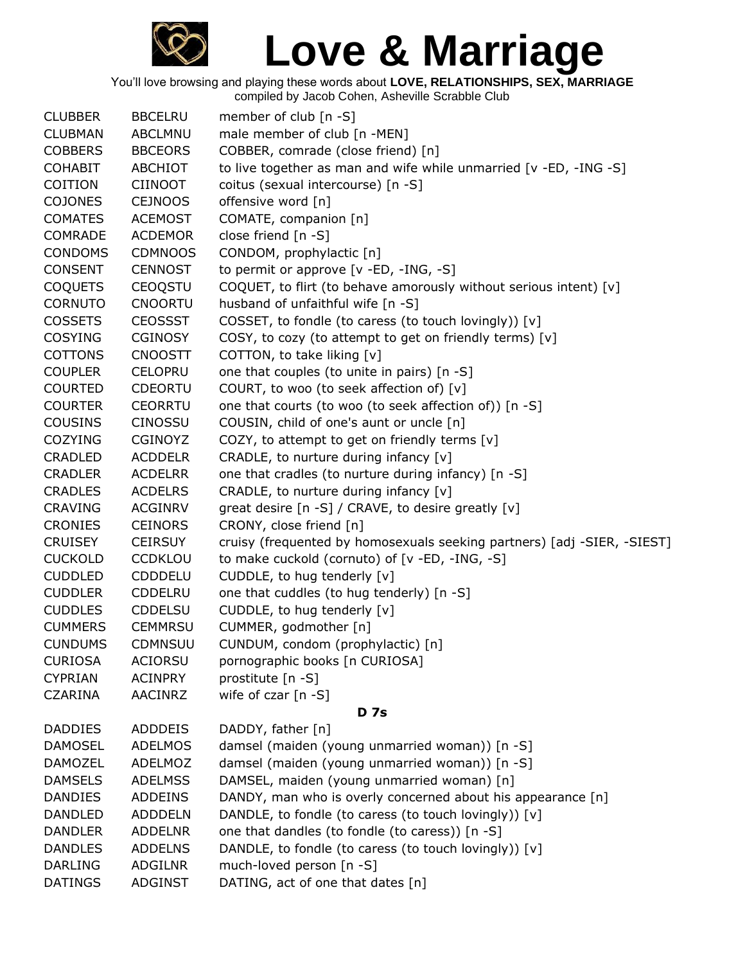

You'll love browsing and playing these words about **LOVE, RELATIONSHIPS, SEX, MARRIAGE**

compiled by Jacob Cohen, Asheville Scrabble Club

| <b>CLUBBER</b> | <b>BBCELRU</b> | member of club [n -S]                                                   |
|----------------|----------------|-------------------------------------------------------------------------|
| <b>CLUBMAN</b> | <b>ABCLMNU</b> | male member of club [n -MEN]                                            |
| <b>COBBERS</b> | <b>BBCEORS</b> | COBBER, comrade (close friend) [n]                                      |
| <b>COHABIT</b> | ABCHIOT        | to live together as man and wife while unmarried [v -ED, -ING -S]       |
| COITION        | <b>CIINOOT</b> | coitus (sexual intercourse) [n -S]                                      |
| <b>COJONES</b> | <b>CEJNOOS</b> | offensive word [n]                                                      |
| <b>COMATES</b> | <b>ACEMOST</b> | COMATE, companion [n]                                                   |
| <b>COMRADE</b> | <b>ACDEMOR</b> | close friend [n -S]                                                     |
| <b>CONDOMS</b> | <b>CDMNOOS</b> | CONDOM, prophylactic [n]                                                |
| <b>CONSENT</b> | <b>CENNOST</b> | to permit or approve [v -ED, -ING, -S]                                  |
| <b>COQUETS</b> | CEOQSTU        | COQUET, to flirt (to behave amorously without serious intent) [v]       |
| <b>CORNUTO</b> | <b>CNOORTU</b> | husband of unfaithful wife [n -S]                                       |
| <b>COSSETS</b> | <b>CEOSSST</b> | COSSET, to fondle (to caress (to touch lovingly)) [v]                   |
| <b>COSYING</b> | <b>CGINOSY</b> | COSY, to cozy (to attempt to get on friendly terms) [v]                 |
| <b>COTTONS</b> | <b>CNOOSTT</b> | COTTON, to take liking [v]                                              |
| <b>COUPLER</b> | <b>CELOPRU</b> | one that couples (to unite in pairs) [n -S]                             |
| <b>COURTED</b> | <b>CDEORTU</b> | COURT, to woo (to seek affection of) [v]                                |
| <b>COURTER</b> | <b>CEORRTU</b> | one that courts (to woo (to seek affection of)) [n -S]                  |
| <b>COUSINS</b> | <b>CINOSSU</b> | COUSIN, child of one's aunt or uncle [n]                                |
| <b>COZYING</b> | <b>CGINOYZ</b> | COZY, to attempt to get on friendly terms [v]                           |
| <b>CRADLED</b> | <b>ACDDELR</b> | CRADLE, to nurture during infancy [v]                                   |
| <b>CRADLER</b> | <b>ACDELRR</b> | one that cradles (to nurture during infancy) [n -S]                     |
| <b>CRADLES</b> | <b>ACDELRS</b> | CRADLE, to nurture during infancy [v]                                   |
| <b>CRAVING</b> | <b>ACGINRV</b> | great desire [n -S] / CRAVE, to desire greatly [v]                      |
| <b>CRONIES</b> | <b>CEINORS</b> | CRONY, close friend [n]                                                 |
| <b>CRUISEY</b> | <b>CEIRSUY</b> | cruisy (frequented by homosexuals seeking partners) [adj -SIER, -SIEST] |
| <b>CUCKOLD</b> | <b>CCDKLOU</b> | to make cuckold (cornuto) of [v -ED, -ING, -S]                          |
| <b>CUDDLED</b> | <b>CDDDELU</b> | CUDDLE, to hug tenderly [v]                                             |
| <b>CUDDLER</b> | CDDELRU        | one that cuddles (to hug tenderly) [n -S]                               |
| <b>CUDDLES</b> | <b>CDDELSU</b> | CUDDLE, to hug tenderly [v]                                             |
| <b>CUMMERS</b> | <b>CEMMRSU</b> | CUMMER, godmother [n]                                                   |
| <b>CUNDUMS</b> | <b>CDMNSUU</b> | CUNDUM, condom (prophylactic) [n]                                       |
| <b>CURIOSA</b> | <b>ACIORSU</b> | pornographic books [n CURIOSA]                                          |
| <b>CYPRIAN</b> | <b>ACINPRY</b> | prostitute [n -S]                                                       |
| <b>CZARINA</b> | AACINRZ        | wife of czar $[n -S]$                                                   |
|                |                | <b>D</b> 7s                                                             |
| <b>DADDIES</b> | ADDDEIS        | DADDY, father [n]                                                       |
| <b>DAMOSEL</b> | <b>ADELMOS</b> | damsel (maiden (young unmarried woman)) [n -S]                          |
| <b>DAMOZEL</b> | ADELMOZ        | damsel (maiden (young unmarried woman)) [n -S]                          |
| <b>DAMSELS</b> | <b>ADELMSS</b> | DAMSEL, maiden (young unmarried woman) [n]                              |
| <b>DANDIES</b> | <b>ADDEINS</b> | DANDY, man who is overly concerned about his appearance [n]             |
| <b>DANDLED</b> | <b>ADDDELN</b> | DANDLE, to fondle (to caress (to touch lovingly)) [v]                   |
| <b>DANDLER</b> | <b>ADDELNR</b> | one that dandles (to fondle (to caress)) [n -S]                         |
| <b>DANDLES</b> | <b>ADDELNS</b> | DANDLE, to fondle (to caress (to touch lovingly)) [v]                   |
| <b>DARLING</b> | <b>ADGILNR</b> | much-loved person [n -S]                                                |
| <b>DATINGS</b> | ADGINST        | DATING, act of one that dates [n]                                       |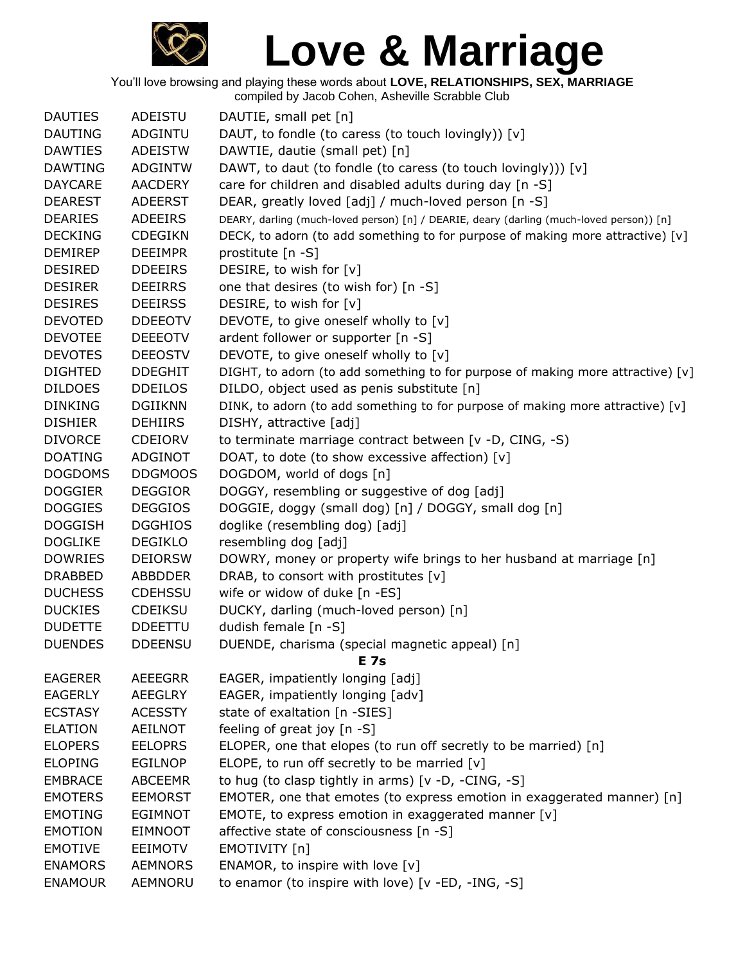

| <b>DAUTIES</b> | ADEISTU        | DAUTIE, small pet [n]                                                                    |
|----------------|----------------|------------------------------------------------------------------------------------------|
| <b>DAUTING</b> | <b>ADGINTU</b> | DAUT, to fondle (to caress (to touch lovingly)) [v]                                      |
| <b>DAWTIES</b> | <b>ADEISTW</b> | DAWTIE, dautie (small pet) [n]                                                           |
| <b>DAWTING</b> | <b>ADGINTW</b> | DAWT, to daut (to fondle (to caress (to touch lovingly))) [v]                            |
| <b>DAYCARE</b> | <b>AACDERY</b> | care for children and disabled adults during day [n -S]                                  |
| <b>DEAREST</b> | <b>ADEERST</b> | DEAR, greatly loved [adj] / much-loved person [n -S]                                     |
| <b>DEARIES</b> | ADEEIRS        | DEARY, darling (much-loved person) [n] / DEARIE, deary (darling (much-loved person)) [n] |
| <b>DECKING</b> | <b>CDEGIKN</b> | DECK, to adorn (to add something to for purpose of making more attractive) [v]           |
| <b>DEMIREP</b> | <b>DEEIMPR</b> | prostitute [n -S]                                                                        |
| <b>DESIRED</b> | <b>DDEEIRS</b> | DESIRE, to wish for [v]                                                                  |
| <b>DESIRER</b> | <b>DEEIRRS</b> | one that desires (to wish for) [n -S]                                                    |
| <b>DESIRES</b> | <b>DEEIRSS</b> | DESIRE, to wish for [v]                                                                  |
| <b>DEVOTED</b> | <b>DDEEOTV</b> | DEVOTE, to give oneself wholly to [v]                                                    |
| <b>DEVOTEE</b> | <b>DEEEOTV</b> | ardent follower or supporter [n -S]                                                      |
| <b>DEVOTES</b> | <b>DEEOSTV</b> | DEVOTE, to give oneself wholly to [v]                                                    |
| <b>DIGHTED</b> | <b>DDEGHIT</b> | DIGHT, to adorn (to add something to for purpose of making more attractive) [v]          |
| <b>DILDOES</b> | <b>DDEILOS</b> | DILDO, object used as penis substitute [n]                                               |
| <b>DINKING</b> | <b>DGIIKNN</b> | DINK, to adorn (to add something to for purpose of making more attractive) [v]           |
| <b>DISHIER</b> | <b>DEHIIRS</b> | DISHY, attractive [adj]                                                                  |
| <b>DIVORCE</b> | <b>CDEIORV</b> | to terminate marriage contract between [v -D, CING, -S)                                  |
| <b>DOATING</b> | <b>ADGINOT</b> | DOAT, to dote (to show excessive affection) [v]                                          |
| <b>DOGDOMS</b> | <b>DDGMOOS</b> | DOGDOM, world of dogs [n]                                                                |
| <b>DOGGIER</b> | <b>DEGGIOR</b> | DOGGY, resembling or suggestive of dog [adj]                                             |
| <b>DOGGIES</b> | <b>DEGGIOS</b> | DOGGIE, doggy (small dog) [n] / DOGGY, small dog [n]                                     |
| <b>DOGGISH</b> | <b>DGGHIOS</b> | doglike (resembling dog) [adj]                                                           |
| <b>DOGLIKE</b> | <b>DEGIKLO</b> | resembling dog [adj]                                                                     |
| <b>DOWRIES</b> | <b>DEIORSW</b> | DOWRY, money or property wife brings to her husband at marriage [n]                      |
| <b>DRABBED</b> | <b>ABBDDER</b> | DRAB, to consort with prostitutes [v]                                                    |
| <b>DUCHESS</b> | <b>CDEHSSU</b> | wife or widow of duke [n -ES]                                                            |
| <b>DUCKIES</b> | <b>CDEIKSU</b> | DUCKY, darling (much-loved person) [n]                                                   |
| <b>DUDETTE</b> | <b>DDEETTU</b> | dudish female [n -S]                                                                     |
| <b>DUENDES</b> | <b>DDEENSU</b> | DUENDE, charisma (special magnetic appeal) [n]                                           |
|                |                | <b>E</b> 7s                                                                              |
| <b>EAGERER</b> | AEEEGRR        | EAGER, impatiently longing [adj]                                                         |
| <b>EAGERLY</b> | <b>AEEGLRY</b> | EAGER, impatiently longing [adv]                                                         |
| <b>ECSTASY</b> | <b>ACESSTY</b> | state of exaltation [n -SIES]                                                            |
| <b>ELATION</b> | <b>AEILNOT</b> | feeling of great joy [n -S]                                                              |
| <b>ELOPERS</b> | <b>EELOPRS</b> | ELOPER, one that elopes (to run off secretly to be married) [n]                          |
| <b>ELOPING</b> | <b>EGILNOP</b> | ELOPE, to run off secretly to be married [v]                                             |
| <b>EMBRACE</b> | <b>ABCEEMR</b> | to hug (to clasp tightly in arms) [v -D, -CING, -S]                                      |
| <b>EMOTERS</b> | <b>EEMORST</b> | EMOTER, one that emotes (to express emotion in exaggerated manner) $[n]$                 |
| <b>EMOTING</b> | <b>EGIMNOT</b> | EMOTE, to express emotion in exaggerated manner [v]                                      |
| <b>EMOTION</b> | <b>EIMNOOT</b> | affective state of consciousness [n -S]                                                  |
| <b>EMOTIVE</b> | <b>EEIMOTV</b> | EMOTIVITY [n]                                                                            |
| <b>ENAMORS</b> | <b>AEMNORS</b> | ENAMOR, to inspire with love [v]                                                         |
| <b>ENAMOUR</b> | AEMNORU        | to enamor (to inspire with love) [v -ED, -ING, -S]                                       |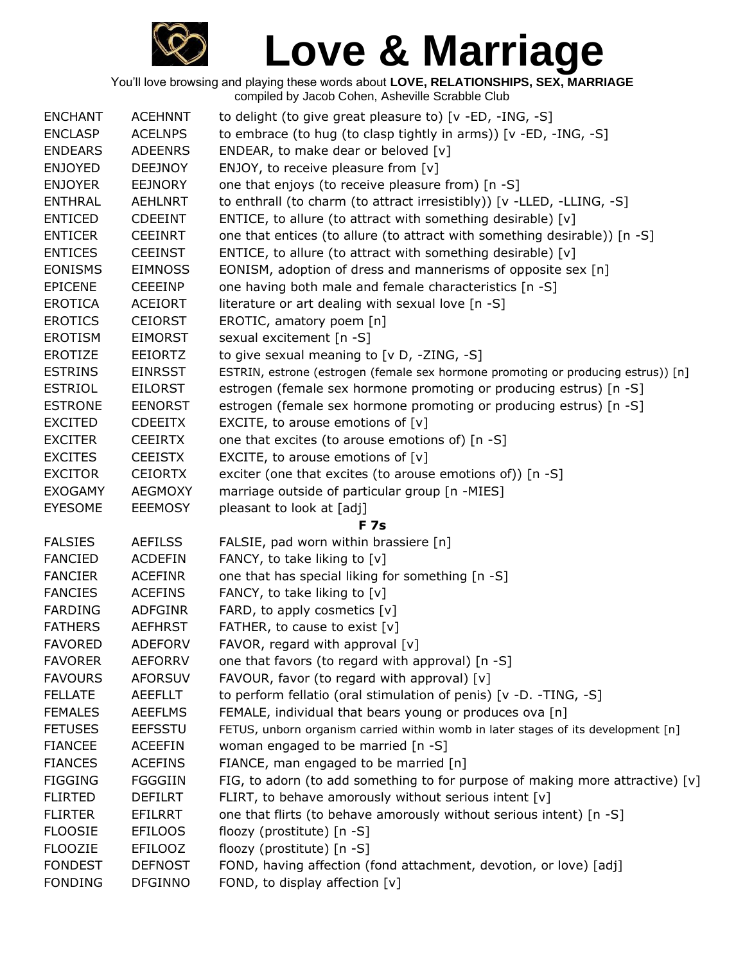

| <b>ENCHANT</b> | <b>ACEHNNT</b> | to delight (to give great pleasure to) [v -ED, -ING, -S]                          |
|----------------|----------------|-----------------------------------------------------------------------------------|
| <b>ENCLASP</b> | <b>ACELNPS</b> | to embrace (to hug (to clasp tightly in arms)) [v -ED, -ING, -S]                  |
| <b>ENDEARS</b> | <b>ADEENRS</b> | ENDEAR, to make dear or beloved [v]                                               |
| <b>ENJOYED</b> | <b>DEEJNOY</b> | ENJOY, to receive pleasure from $[v]$                                             |
| <b>ENJOYER</b> | <b>EEJNORY</b> | one that enjoys (to receive pleasure from) [n -S]                                 |
| <b>ENTHRAL</b> | <b>AEHLNRT</b> | to enthrall (to charm (to attract irresistibly)) [v -LLED, -LLING, -S]            |
| <b>ENTICED</b> | <b>CDEEINT</b> | ENTICE, to allure (to attract with something desirable) [v]                       |
| <b>ENTICER</b> | <b>CEEINRT</b> | one that entices (to allure (to attract with something desirable)) [n -S]         |
| <b>ENTICES</b> | <b>CEEINST</b> | ENTICE, to allure (to attract with something desirable) [v]                       |
| <b>EONISMS</b> | <b>EIMNOSS</b> | EONISM, adoption of dress and mannerisms of opposite sex [n]                      |
| <b>EPICENE</b> | <b>CEEEINP</b> | one having both male and female characteristics [n -S]                            |
| <b>EROTICA</b> | <b>ACEIORT</b> | literature or art dealing with sexual love [n -S]                                 |
| <b>EROTICS</b> | <b>CEIORST</b> | EROTIC, amatory poem [n]                                                          |
| <b>EROTISM</b> | <b>EIMORST</b> | sexual excitement [n -S]                                                          |
| <b>EROTIZE</b> | <b>EEIORTZ</b> | to give sexual meaning to [v D, -ZING, -S]                                        |
| <b>ESTRINS</b> | <b>EINRSST</b> | ESTRIN, estrone (estrogen (female sex hormone promoting or producing estrus)) [n] |
| <b>ESTRIOL</b> | <b>EILORST</b> | estrogen (female sex hormone promoting or producing estrus) [n -S]                |
| <b>ESTRONE</b> | <b>EENORST</b> | estrogen (female sex hormone promoting or producing estrus) [n -S]                |
| <b>EXCITED</b> | <b>CDEEITX</b> | EXCITE, to arouse emotions of $[v]$                                               |
| <b>EXCITER</b> | <b>CEEIRTX</b> | one that excites (to arouse emotions of) [n -S]                                   |
| <b>EXCITES</b> | <b>CEEISTX</b> | EXCITE, to arouse emotions of $[v]$                                               |
| <b>EXCITOR</b> | <b>CEIORTX</b> | exciter (one that excites (to arouse emotions of)) [n -S]                         |
| <b>EXOGAMY</b> | <b>AEGMOXY</b> | marriage outside of particular group [n -MIES]                                    |
| EYESOME        | <b>EEEMOSY</b> | pleasant to look at [adj]                                                         |
|                |                | <b>F</b> 7s                                                                       |
| <b>FALSIES</b> | <b>AEFILSS</b> | FALSIE, pad worn within brassiere [n]                                             |
| <b>FANCIED</b> | <b>ACDEFIN</b> | FANCY, to take liking to [v]                                                      |
| <b>FANCIER</b> | <b>ACEFINR</b> | one that has special liking for something [n -S]                                  |
| <b>FANCIES</b> | <b>ACEFINS</b> | FANCY, to take liking to [v]                                                      |
| <b>FARDING</b> | <b>ADFGINR</b> | FARD, to apply cosmetics [v]                                                      |
| <b>FATHERS</b> | <b>AEFHRST</b> | FATHER, to cause to exist [v]                                                     |
| <b>FAVORED</b> | <b>ADEFORV</b> | FAVOR, regard with approval [v]                                                   |
| <b>FAVORER</b> | <b>AEFORRV</b> | one that favors (to regard with approval) [n -S]                                  |
| <b>FAVOURS</b> | <b>AFORSUV</b> | FAVOUR, favor (to regard with approval) [v]                                       |
| <b>FELLATE</b> | <b>AEEFLLT</b> | to perform fellatio (oral stimulation of penis) [v -D. -TING, -S]                 |
| <b>FEMALES</b> | <b>AEEFLMS</b> | FEMALE, individual that bears young or produces ova [n]                           |
| <b>FETUSES</b> | <b>EEFSSTU</b> | FETUS, unborn organism carried within womb in later stages of its development [n] |
| <b>FIANCEE</b> | <b>ACEEFIN</b> | woman engaged to be married [n -S]                                                |
| <b>FIANCES</b> | <b>ACEFINS</b> | FIANCE, man engaged to be married [n]                                             |
| <b>FIGGING</b> | <b>FGGGIIN</b> | FIG, to adorn (to add something to for purpose of making more attractive) $[v]$   |
| <b>FLIRTED</b> | <b>DEFILRT</b> | FLIRT, to behave amorously without serious intent [v]                             |
| <b>FLIRTER</b> | EFILRRT        | one that flirts (to behave amorously without serious intent) [n -S]               |
| <b>FLOOSIE</b> | <b>EFILOOS</b> | floozy (prostitute) [n -S]                                                        |
| <b>FLOOZIE</b> | <b>EFILOOZ</b> | floozy (prostitute) [n -S]                                                        |
| <b>FONDEST</b> | <b>DEFNOST</b> | FOND, having affection (fond attachment, devotion, or love) [adj]                 |
| <b>FONDING</b> | <b>DFGINNO</b> | FOND, to display affection [v]                                                    |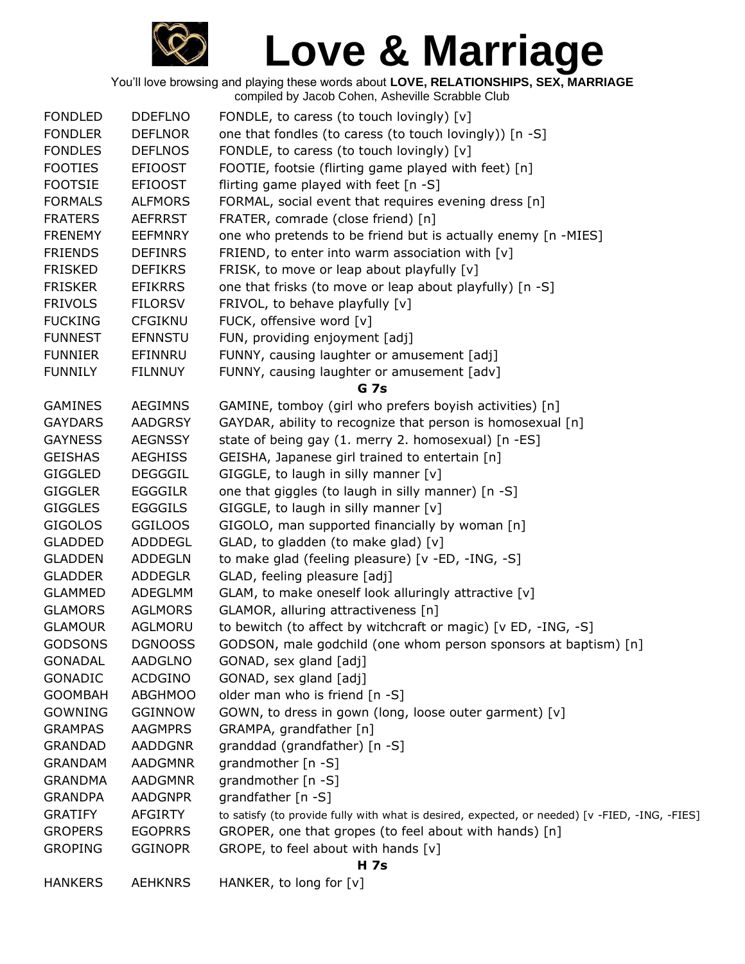

| <b>FONDLED</b> | <b>DDEFLNO</b> | FONDLE, to caress (to touch lovingly) [v]                                                      |
|----------------|----------------|------------------------------------------------------------------------------------------------|
| <b>FONDLER</b> | <b>DEFLNOR</b> | one that fondles (to caress (to touch lovingly)) [n -S]                                        |
| <b>FONDLES</b> | <b>DEFLNOS</b> | FONDLE, to caress (to touch lovingly) [v]                                                      |
| <b>FOOTIES</b> | <b>EFIOOST</b> | FOOTIE, footsie (flirting game played with feet) [n]                                           |
| <b>FOOTSIE</b> | <b>EFIOOST</b> | flirting game played with feet [n -S]                                                          |
| <b>FORMALS</b> | <b>ALFMORS</b> | FORMAL, social event that requires evening dress [n]                                           |
| <b>FRATERS</b> | <b>AEFRRST</b> | FRATER, comrade (close friend) [n]                                                             |
| <b>FRENEMY</b> | <b>EEFMNRY</b> | one who pretends to be friend but is actually enemy [n -MIES]                                  |
| <b>FRIENDS</b> | <b>DEFINRS</b> | FRIEND, to enter into warm association with $[v]$                                              |
| <b>FRISKED</b> | <b>DEFIKRS</b> | FRISK, to move or leap about playfully [v]                                                     |
| <b>FRISKER</b> | <b>EFIKRRS</b> | one that frisks (to move or leap about playfully) [n -S]                                       |
| <b>FRIVOLS</b> | <b>FILORSV</b> | FRIVOL, to behave playfully [v]                                                                |
| <b>FUCKING</b> | CFGIKNU        | FUCK, offensive word [v]                                                                       |
| <b>FUNNEST</b> | <b>EFNNSTU</b> | FUN, providing enjoyment [adj]                                                                 |
| <b>FUNNIER</b> | EFINNRU        | FUNNY, causing laughter or amusement [adj]                                                     |
| <b>FUNNILY</b> | <b>FILNNUY</b> | FUNNY, causing laughter or amusement [adv]                                                     |
|                |                | G 7s                                                                                           |
| <b>GAMINES</b> | <b>AEGIMNS</b> | GAMINE, tomboy (girl who prefers boyish activities) [n]                                        |
| <b>GAYDARS</b> | <b>AADGRSY</b> | GAYDAR, ability to recognize that person is homosexual [n]                                     |
| <b>GAYNESS</b> | <b>AEGNSSY</b> | state of being gay (1. merry 2. homosexual) [n -ES]                                            |
| <b>GEISHAS</b> | <b>AEGHISS</b> | GEISHA, Japanese girl trained to entertain [n]                                                 |
| <b>GIGGLED</b> | <b>DEGGGIL</b> | GIGGLE, to laugh in silly manner [v]                                                           |
| <b>GIGGLER</b> | <b>EGGGILR</b> | one that giggles (to laugh in silly manner) [n -S]                                             |
| <b>GIGGLES</b> | <b>EGGGILS</b> | GIGGLE, to laugh in silly manner [v]                                                           |
| <b>GIGOLOS</b> | <b>GGILOOS</b> | GIGOLO, man supported financially by woman [n]                                                 |
| <b>GLADDED</b> | ADDDEGL        | GLAD, to gladden (to make glad) [v]                                                            |
| <b>GLADDEN</b> | ADDEGLN        | to make glad (feeling pleasure) [v -ED, -ING, -S]                                              |
| <b>GLADDER</b> | <b>ADDEGLR</b> | GLAD, feeling pleasure [adj]                                                                   |
| <b>GLAMMED</b> | ADEGLMM        | GLAM, to make oneself look alluringly attractive [v]                                           |
| <b>GLAMORS</b> | <b>AGLMORS</b> | GLAMOR, alluring attractiveness [n]                                                            |
| <b>GLAMOUR</b> | AGLMORU        | to bewitch (to affect by witchcraft or magic) [v ED, -ING, -S]                                 |
| <b>GODSONS</b> | DGNOOSS        | GODSON, male godchild (one whom person sponsors at baptism) [n]                                |
| <b>GONADAL</b> | <b>AADGLNO</b> | GONAD, sex gland [adj]                                                                         |
| <b>GONADIC</b> | <b>ACDGINO</b> | GONAD, sex gland [adj]                                                                         |
| <b>GOOMBAH</b> | <b>ABGHMOO</b> | older man who is friend [n -S]                                                                 |
| GOWNING        | <b>GGINNOW</b> | GOWN, to dress in gown (long, loose outer garment) [v]                                         |
| <b>GRAMPAS</b> | <b>AAGMPRS</b> | GRAMPA, grandfather [n]                                                                        |
| <b>GRANDAD</b> | <b>AADDGNR</b> | granddad (grandfather) [n -S]                                                                  |
| <b>GRANDAM</b> | <b>AADGMNR</b> | grandmother [n -S]                                                                             |
| <b>GRANDMA</b> | AADGMNR        | grandmother [n -S]                                                                             |
| <b>GRANDPA</b> | <b>AADGNPR</b> | grandfather [n -S]                                                                             |
| <b>GRATIFY</b> | <b>AFGIRTY</b> | to satisfy (to provide fully with what is desired, expected, or needed) [v -FIED, -ING, -FIES] |
| <b>GROPERS</b> | <b>EGOPRRS</b> | GROPER, one that gropes (to feel about with hands) [n]                                         |
| <b>GROPING</b> | <b>GGINOPR</b> | GROPE, to feel about with hands [v]                                                            |
|                |                | <b>H</b> 7s                                                                                    |
| <b>HANKERS</b> | <b>AEHKNRS</b> | HANKER, to long for [v]                                                                        |
|                |                |                                                                                                |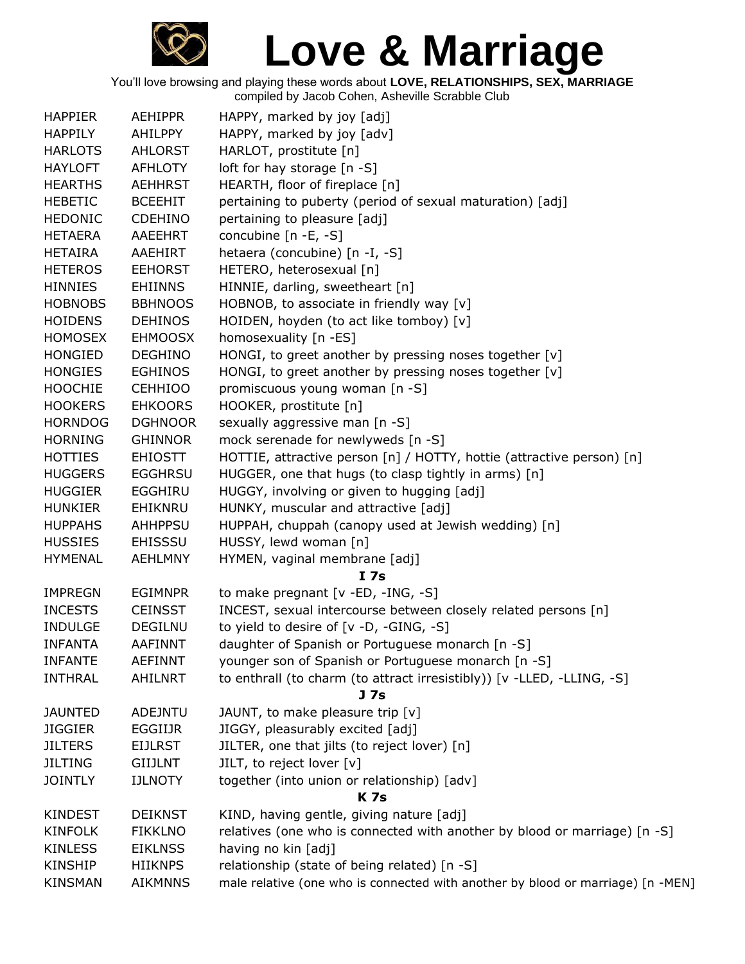

| <b>HAPPIER</b> | <b>AEHIPPR</b> | HAPPY, marked by joy [adj]                                                      |
|----------------|----------------|---------------------------------------------------------------------------------|
| <b>HAPPILY</b> | AHILPPY        | HAPPY, marked by joy [adv]                                                      |
| <b>HARLOTS</b> | <b>AHLORST</b> | HARLOT, prostitute [n]                                                          |
| <b>HAYLOFT</b> | <b>AFHLOTY</b> | loft for hay storage [n -S]                                                     |
| <b>HEARTHS</b> | <b>AEHHRST</b> | HEARTH, floor of fireplace [n]                                                  |
| HEBETIC        | <b>BCEEHIT</b> | pertaining to puberty (period of sexual maturation) [adj]                       |
| <b>HEDONIC</b> | <b>CDEHINO</b> | pertaining to pleasure [adj]                                                    |
| <b>HETAERA</b> | AAEEHRT        | concubine $[n -E, -S]$                                                          |
| <b>HETAIRA</b> | AAEHIRT        | hetaera (concubine) [n -I, -S]                                                  |
| <b>HETEROS</b> | <b>EEHORST</b> | HETERO, heterosexual [n]                                                        |
| <b>HINNIES</b> | <b>EHIINNS</b> | HINNIE, darling, sweetheart [n]                                                 |
| <b>HOBNOBS</b> | <b>BBHNOOS</b> | HOBNOB, to associate in friendly way [v]                                        |
| <b>HOIDENS</b> | <b>DEHINOS</b> | HOIDEN, hoyden (to act like tomboy) [v]                                         |
| <b>HOMOSEX</b> | <b>EHMOOSX</b> | homosexuality [n -ES]                                                           |
| <b>HONGIED</b> | <b>DEGHINO</b> | HONGI, to greet another by pressing noses together $[v]$                        |
| <b>HONGIES</b> | <b>EGHINOS</b> | HONGI, to greet another by pressing noses together [v]                          |
| <b>HOOCHIE</b> | <b>CEHHIOO</b> | promiscuous young woman [n -S]                                                  |
| <b>HOOKERS</b> | <b>EHKOORS</b> | HOOKER, prostitute [n]                                                          |
| <b>HORNDOG</b> | <b>DGHNOOR</b> | sexually aggressive man [n -S]                                                  |
| <b>HORNING</b> | <b>GHINNOR</b> | mock serenade for newlyweds [n -S]                                              |
| <b>HOTTIES</b> | <b>EHIOSTT</b> | HOTTIE, attractive person [n] / HOTTY, hottie (attractive person) [n]           |
| <b>HUGGERS</b> | <b>EGGHRSU</b> | HUGGER, one that hugs (to clasp tightly in arms) [n]                            |
| <b>HUGGIER</b> | <b>EGGHIRU</b> | HUGGY, involving or given to hugging [adj]                                      |
| <b>HUNKIER</b> | EHIKNRU        | HUNKY, muscular and attractive [adj]                                            |
| <b>HUPPAHS</b> | AHHPPSU        | HUPPAH, chuppah (canopy used at Jewish wedding) [n]                             |
| <b>HUSSIES</b> | <b>EHISSSU</b> | HUSSY, lewd woman [n]                                                           |
| <b>HYMENAL</b> | <b>AEHLMNY</b> | HYMEN, vaginal membrane [adj]                                                   |
|                |                | I <sub>7s</sub>                                                                 |
| <b>IMPREGN</b> | <b>EGIMNPR</b> | to make pregnant [v -ED, -ING, -S]                                              |
| <b>INCESTS</b> | <b>CEINSST</b> | INCEST, sexual intercourse between closely related persons [n]                  |
| <b>INDULGE</b> | <b>DEGILNU</b> | to yield to desire of [v -D, -GING, -S]                                         |
| <b>INFANTA</b> | <b>AAFINNT</b> | daughter of Spanish or Portuguese monarch [n -S]                                |
| <b>INFANTE</b> | <b>AEFINNT</b> | younger son of Spanish or Portuguese monarch [n -S]                             |
| <b>INTHRAL</b> | AHILNRT        | to enthrall (to charm (to attract irresistibly)) [v -LLED, -LLING, -S]          |
|                |                | J <sub>7s</sub>                                                                 |
| <b>JAUNTED</b> | <b>ADEJNTU</b> | JAUNT, to make pleasure trip [v]                                                |
| <b>JIGGIER</b> | EGGIIJR        | JIGGY, pleasurably excited [adj]                                                |
| <b>JILTERS</b> | <b>EIJLRST</b> | JILTER, one that jilts (to reject lover) [n]                                    |
| <b>JILTING</b> | <b>GIIJLNT</b> | JILT, to reject lover [v]                                                       |
| <b>JOINTLY</b> | <b>IJLNOTY</b> | together (into union or relationship) [adv]                                     |
|                |                | <b>K7s</b>                                                                      |
| <b>KINDEST</b> | <b>DEIKNST</b> | KIND, having gentle, giving nature [adj]                                        |
| <b>KINFOLK</b> | <b>FIKKLNO</b> | relatives (one who is connected with another by blood or marriage) [n -S]       |
| <b>KINLESS</b> | <b>EIKLNSS</b> | having no kin [adj]                                                             |
| KINSHIP        | <b>HIIKNPS</b> | relationship (state of being related) [n -S]                                    |
| <b>KINSMAN</b> | <b>AIKMNNS</b> | male relative (one who is connected with another by blood or marriage) [n -MEN] |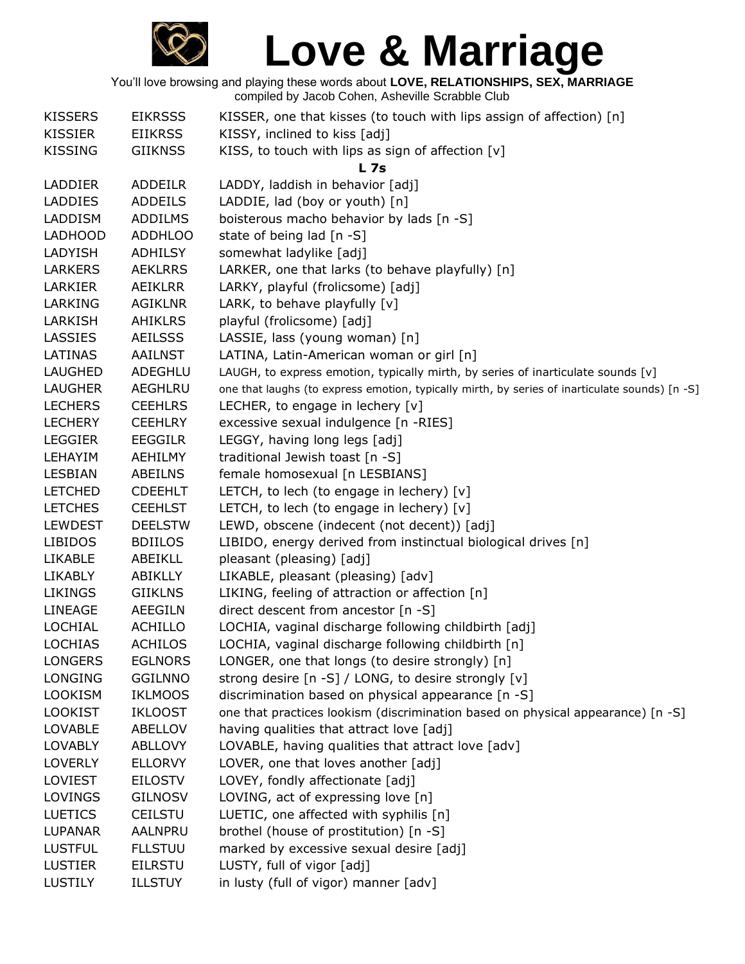

| <b>KISSERS</b> | <b>EIKRSSS</b> | KISSER, one that kisses (to touch with lips assign of affection) [n]                           |
|----------------|----------------|------------------------------------------------------------------------------------------------|
| <b>KISSIER</b> | <b>EIIKRSS</b> | KISSY, inclined to kiss [adj]                                                                  |
| <b>KISSING</b> | <b>GIIKNSS</b> | KISS, to touch with lips as sign of affection $[v]$                                            |
|                |                | L <sub>7s</sub>                                                                                |
| <b>LADDIER</b> | <b>ADDEILR</b> | LADDY, laddish in behavior [adj]                                                               |
| <b>LADDIES</b> | <b>ADDEILS</b> | LADDIE, lad (boy or youth) [n]                                                                 |
| LADDISM        | <b>ADDILMS</b> | boisterous macho behavior by lads [n -S]                                                       |
| <b>LADHOOD</b> | <b>ADDHLOO</b> | state of being lad [n -S]                                                                      |
| LADYISH        | <b>ADHILSY</b> | somewhat ladylike [adj]                                                                        |
| <b>LARKERS</b> | <b>AEKLRRS</b> | LARKER, one that larks (to behave playfully) [n]                                               |
| LARKIER        | AEIKLRR        | LARKY, playful (frolicsome) [adj]                                                              |
| LARKING        | <b>AGIKLNR</b> | LARK, to behave playfully [v]                                                                  |
| LARKISH        | AHIKLRS        | playful (frolicsome) [adj]                                                                     |
| LASSIES        | <b>AEILSSS</b> | LASSIE, lass (young woman) [n]                                                                 |
| LATINAS        | <b>AAILNST</b> | LATINA, Latin-American woman or girl [n]                                                       |
| LAUGHED        | ADEGHLU        | LAUGH, to express emotion, typically mirth, by series of inarticulate sounds [v]               |
| <b>LAUGHER</b> | <b>AEGHLRU</b> | one that laughs (to express emotion, typically mirth, by series of inarticulate sounds) [n -S] |
| <b>LECHERS</b> | <b>CEEHLRS</b> | LECHER, to engage in lechery $[v]$                                                             |
| <b>LECHERY</b> | <b>CEEHLRY</b> | excessive sexual indulgence [n -RIES]                                                          |
| <b>LEGGIER</b> | <b>EEGGILR</b> | LEGGY, having long legs [adj]                                                                  |
| LEHAYIM        | <b>AEHILMY</b> | traditional Jewish toast [n -S]                                                                |
| LESBIAN        | ABEILNS        | female homosexual [n LESBIANS]                                                                 |
| <b>LETCHED</b> | <b>CDEEHLT</b> | LETCH, to lech (to engage in lechery) [v]                                                      |
| <b>LETCHES</b> | <b>CEEHLST</b> | LETCH, to lech (to engage in lechery) [v]                                                      |
| <b>LEWDEST</b> | <b>DEELSTW</b> | LEWD, obscene (indecent (not decent)) [adj]                                                    |
| <b>LIBIDOS</b> | <b>BDIILOS</b> | LIBIDO, energy derived from instinctual biological drives [n]                                  |
| LIKABLE        | ABEIKLL        | pleasant (pleasing) [adj]                                                                      |
| <b>LIKABLY</b> | ABIKLLY        | LIKABLE, pleasant (pleasing) [adv]                                                             |
| <b>LIKINGS</b> | <b>GIIKLNS</b> | LIKING, feeling of attraction or affection [n]                                                 |
| LINEAGE        | <b>AEEGILN</b> | direct descent from ancestor [n -S]                                                            |
| <b>LOCHIAL</b> | <b>ACHILLO</b> | LOCHIA, vaginal discharge following childbirth [adj]                                           |
| <b>LOCHIAS</b> | <b>ACHILOS</b> | LOCHIA, vaginal discharge following childbirth [n]                                             |
| <b>LONGERS</b> | <b>EGLNORS</b> | LONGER, one that longs (to desire strongly) [n]                                                |
| <b>LONGING</b> | <b>GGILNNO</b> | strong desire [n -S] / LONG, to desire strongly [v]                                            |
| <b>LOOKISM</b> | <b>IKLMOOS</b> | discrimination based on physical appearance [n -S]                                             |
| <b>LOOKIST</b> | <b>IKLOOST</b> | one that practices lookism (discrimination based on physical appearance) [n -S]                |
| <b>LOVABLE</b> | ABELLOV        | having qualities that attract love [adj]                                                       |
| <b>LOVABLY</b> | <b>ABLLOVY</b> | LOVABLE, having qualities that attract love [adv]                                              |
| <b>LOVERLY</b> | <b>ELLORVY</b> | LOVER, one that loves another [adj]                                                            |
| LOVIEST        | <b>EILOSTV</b> | LOVEY, fondly affectionate [adj]                                                               |
| <b>LOVINGS</b> | <b>GILNOSV</b> | LOVING, act of expressing love [n]                                                             |
| <b>LUETICS</b> | <b>CEILSTU</b> | LUETIC, one affected with syphilis [n]                                                         |
| <b>LUPANAR</b> | AALNPRU        | brothel (house of prostitution) [n -S]                                                         |
| <b>LUSTFUL</b> | <b>FLLSTUU</b> | marked by excessive sexual desire [adj]                                                        |
| <b>LUSTIER</b> | <b>EILRSTU</b> | LUSTY, full of vigor [adj]                                                                     |
| <b>LUSTILY</b> | ILLSTUY        | in lusty (full of vigor) manner [adv]                                                          |
|                |                |                                                                                                |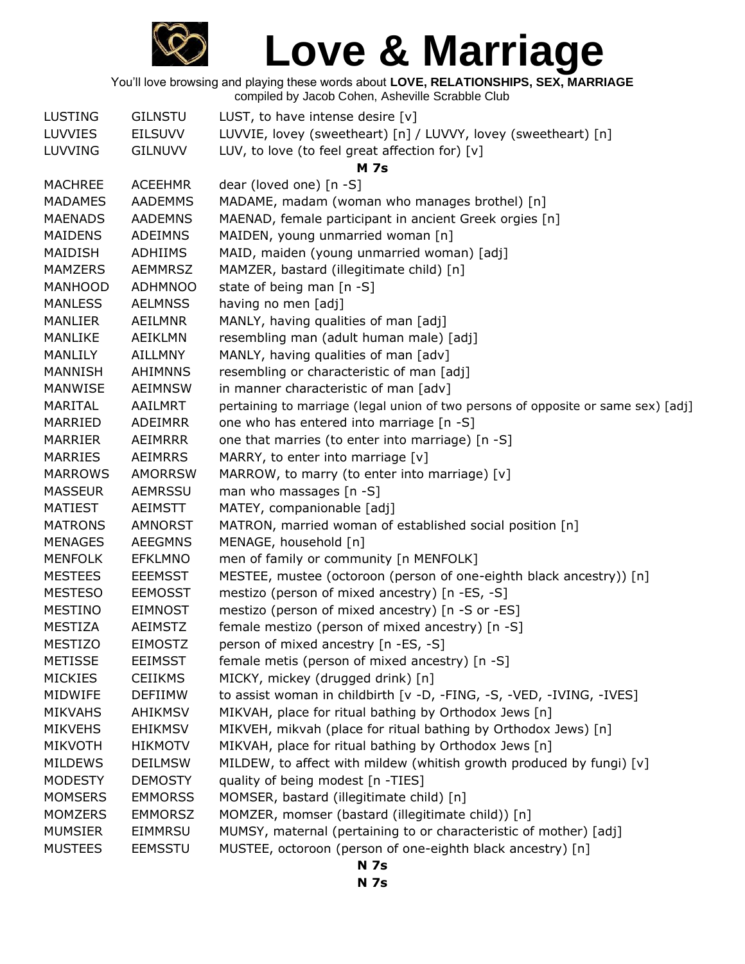

You'll love browsing and playing these words about **LOVE, RELATIONSHIPS, SEX, MARRIAGE** compiled by Jacob Cohen, Asheville Scrabble Club

| <b>LUSTING</b> | <b>GILNSTU</b> | LUST, to have intense desire $[v]$                                                |
|----------------|----------------|-----------------------------------------------------------------------------------|
| <b>LUVVIES</b> | <b>EILSUVV</b> | LUVVIE, lovey (sweetheart) [n] / LUVVY, lovey (sweetheart) [n]                    |
| <b>LUVVING</b> | <b>GILNUVV</b> | LUV, to love (to feel great affection for) $[v]$                                  |
|                |                | <b>M</b> 7s                                                                       |
| <b>MACHREE</b> | <b>ACEEHMR</b> | dear (loved one) [n -S]                                                           |
| <b>MADAMES</b> | <b>AADEMMS</b> | MADAME, madam (woman who manages brothel) [n]                                     |
| <b>MAENADS</b> | <b>AADEMNS</b> | MAENAD, female participant in ancient Greek orgies [n]                            |
| <b>MAIDENS</b> | <b>ADEIMNS</b> | MAIDEN, young unmarried woman [n]                                                 |
| MAIDISH        | <b>ADHIIMS</b> | MAID, maiden (young unmarried woman) [adj]                                        |
| <b>MAMZERS</b> | <b>AEMMRSZ</b> | MAMZER, bastard (illegitimate child) [n]                                          |
| <b>MANHOOD</b> | <b>ADHMNOO</b> | state of being man [n -S]                                                         |
| <b>MANLESS</b> | <b>AELMNSS</b> | having no men [adj]                                                               |
| <b>MANLIER</b> | AEILMNR        | MANLY, having qualities of man [adj]                                              |
| MANLIKE        | AEIKLMN        | resembling man (adult human male) [adj]                                           |
| <b>MANLILY</b> | <b>AILLMNY</b> | MANLY, having qualities of man [adv]                                              |
| <b>MANNISH</b> | <b>AHIMNNS</b> | resembling or characteristic of man [adj]                                         |
| MANWISE        | <b>AEIMNSW</b> | in manner characteristic of man [adv]                                             |
| <b>MARITAL</b> | AAILMRT        | pertaining to marriage (legal union of two persons of opposite or same sex) [adj] |
| MARRIED        | <b>ADEIMRR</b> | one who has entered into marriage [n -S]                                          |
| <b>MARRIER</b> | AEIMRRR        | one that marries (to enter into marriage) [n -S]                                  |
| <b>MARRIES</b> | <b>AEIMRRS</b> | MARRY, to enter into marriage [v]                                                 |
| <b>MARROWS</b> | <b>AMORRSW</b> | MARROW, to marry (to enter into marriage) [v]                                     |
| <b>MASSEUR</b> | <b>AEMRSSU</b> | man who massages [n -S]                                                           |
| <b>MATIEST</b> | <b>AEIMSTT</b> | MATEY, companionable [adj]                                                        |
| <b>MATRONS</b> | AMNORST        | MATRON, married woman of established social position [n]                          |
| <b>MENAGES</b> | <b>AEEGMNS</b> | MENAGE, household [n]                                                             |
| <b>MENFOLK</b> | <b>EFKLMNO</b> | men of family or community [n MENFOLK]                                            |
| <b>MESTEES</b> | <b>EEEMSST</b> | MESTEE, mustee (octoroon (person of one-eighth black ancestry)) [n]               |
| <b>MESTESO</b> | <b>EEMOSST</b> | mestizo (person of mixed ancestry) [n -ES, -S]                                    |
| <b>MESTINO</b> | <b>EIMNOST</b> | mestizo (person of mixed ancestry) [n -S or -ES]                                  |
| <b>MESTIZA</b> | <b>AEIMSTZ</b> | female mestizo (person of mixed ancestry) [n -S]                                  |
| <b>MESTIZO</b> | <b>EIMOSTZ</b> | person of mixed ancestry [n -ES, -S]                                              |
| <b>METISSE</b> | <b>EEIMSST</b> | female metis (person of mixed ancestry) [n -S]                                    |
| <b>MICKIES</b> | <b>CEIIKMS</b> | MICKY, mickey (drugged drink) [n]                                                 |
| <b>MIDWIFE</b> | <b>DEFIIMW</b> | to assist woman in childbirth [v -D, -FING, -S, -VED, -IVING, -IVES]              |
| <b>MIKVAHS</b> | <b>AHIKMSV</b> | MIKVAH, place for ritual bathing by Orthodox Jews [n]                             |
| <b>MIKVEHS</b> | <b>EHIKMSV</b> | MIKVEH, mikvah (place for ritual bathing by Orthodox Jews) [n]                    |
| <b>MIKVOTH</b> | <b>HIKMOTV</b> | MIKVAH, place for ritual bathing by Orthodox Jews [n]                             |
| <b>MILDEWS</b> | <b>DEILMSW</b> | MILDEW, to affect with mildew (whitish growth produced by fungi) [v]              |
| <b>MODESTY</b> | <b>DEMOSTY</b> | quality of being modest [n -TIES]                                                 |
| <b>MOMSERS</b> | <b>EMMORSS</b> | MOMSER, bastard (illegitimate child) [n]                                          |
| <b>MOMZERS</b> | <b>EMMORSZ</b> | MOMZER, momser (bastard (illegitimate child)) [n]                                 |
| <b>MUMSIER</b> | EIMMRSU        | MUMSY, maternal (pertaining to or characteristic of mother) [adj]                 |
| <b>MUSTEES</b> | <b>EEMSSTU</b> | MUSTEE, octoroon (person of one-eighth black ancestry) [n]                        |

**N 7s**

**N 7s**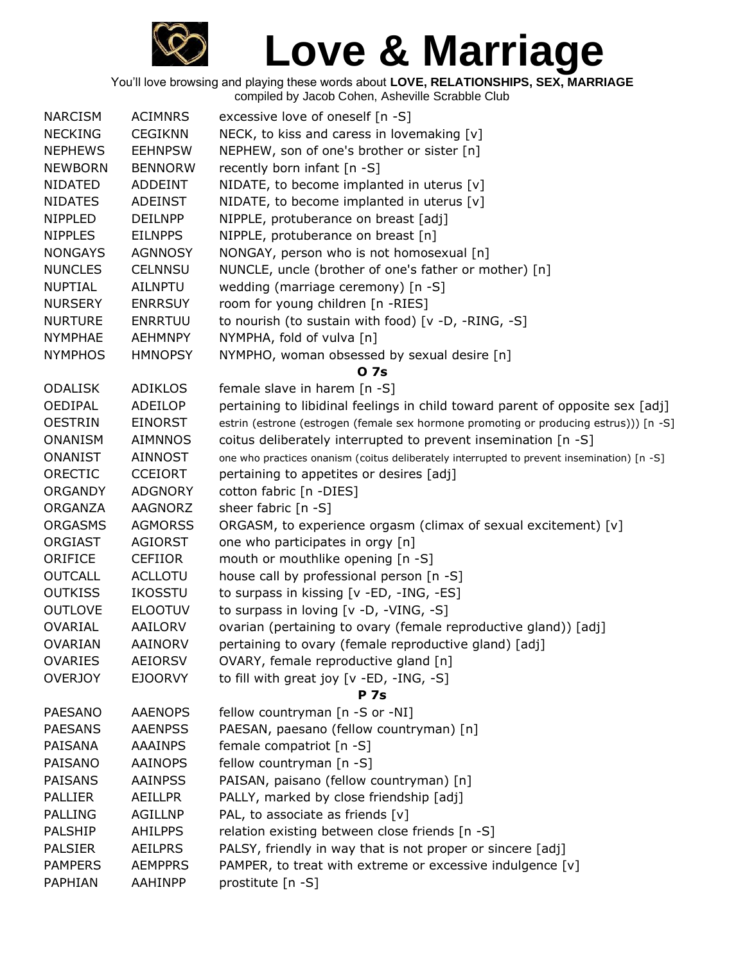

| <b>NARCISM</b> | <b>ACIMNRS</b> | excessive love of oneself [n -S]                                                           |
|----------------|----------------|--------------------------------------------------------------------------------------------|
| <b>NECKING</b> | <b>CEGIKNN</b> | NECK, to kiss and caress in lovemaking [v]                                                 |
| <b>NEPHEWS</b> | <b>EEHNPSW</b> | NEPHEW, son of one's brother or sister [n]                                                 |
| <b>NEWBORN</b> | <b>BENNORW</b> | recently born infant [n -S]                                                                |
| <b>NIDATED</b> | <b>ADDEINT</b> | NIDATE, to become implanted in uterus [v]                                                  |
| <b>NIDATES</b> | <b>ADEINST</b> | NIDATE, to become implanted in uterus $[v]$                                                |
| <b>NIPPLED</b> | <b>DEILNPP</b> | NIPPLE, protuberance on breast [adj]                                                       |
| <b>NIPPLES</b> | <b>EILNPPS</b> | NIPPLE, protuberance on breast [n]                                                         |
| <b>NONGAYS</b> | <b>AGNNOSY</b> | NONGAY, person who is not homosexual [n]                                                   |
| <b>NUNCLES</b> | <b>CELNNSU</b> | NUNCLE, uncle (brother of one's father or mother) [n]                                      |
| <b>NUPTIAL</b> | <b>AILNPTU</b> | wedding (marriage ceremony) [n -S]                                                         |
| <b>NURSERY</b> | <b>ENRRSUY</b> | room for young children [n -RIES]                                                          |
| <b>NURTURE</b> | <b>ENRRTUU</b> | to nourish (to sustain with food) [v -D, -RING, -S]                                        |
| <b>NYMPHAE</b> | <b>AEHMNPY</b> | NYMPHA, fold of vulva [n]                                                                  |
| <b>NYMPHOS</b> | <b>HMNOPSY</b> | NYMPHO, woman obsessed by sexual desire [n]                                                |
|                |                | 0 7s                                                                                       |
| <b>ODALISK</b> | <b>ADIKLOS</b> | female slave in harem [n -S]                                                               |
| <b>OEDIPAL</b> | ADEILOP        | pertaining to libidinal feelings in child toward parent of opposite sex [adj]              |
| <b>OESTRIN</b> | <b>EINORST</b> | estrin (estrone (estrogen (female sex hormone promoting or producing estrus))) [n -S]      |
| <b>ONANISM</b> | <b>AIMNNOS</b> | coitus deliberately interrupted to prevent insemination [n -S]                             |
| <b>ONANIST</b> | <b>AINNOST</b> | one who practices onanism (coitus deliberately interrupted to prevent insemination) [n -S] |
| ORECTIC        | <b>CCEIORT</b> | pertaining to appetites or desires [adj]                                                   |
| <b>ORGANDY</b> | <b>ADGNORY</b> | cotton fabric [n -DIES]                                                                    |
| ORGANZA        | AAGNORZ        | sheer fabric [n -S]                                                                        |
| <b>ORGASMS</b> | <b>AGMORSS</b> | ORGASM, to experience orgasm (climax of sexual excitement) [v]                             |
| <b>ORGIAST</b> | <b>AGIORST</b> | one who participates in orgy [n]                                                           |
| ORIFICE        | <b>CEFIIOR</b> | mouth or mouthlike opening [n -S]                                                          |
| <b>OUTCALL</b> | <b>ACLLOTU</b> | house call by professional person [n -S]                                                   |
| <b>OUTKISS</b> | <b>IKOSSTU</b> | to surpass in kissing [v -ED, -ING, -ES]                                                   |
| <b>OUTLOVE</b> | <b>ELOOTUV</b> | to surpass in loving [v -D, -VING, -S]                                                     |
|                |                |                                                                                            |
| OVARIAL        | <b>AAILORV</b> | ovarian (pertaining to ovary (female reproductive gland)) [adj]                            |
| <b>OVARIAN</b> | <b>AAINORV</b> | pertaining to ovary (female reproductive gland) [adj]                                      |
| <b>OVARIES</b> | <b>AEIORSV</b> | OVARY, female reproductive gland [n]                                                       |
| <b>OVERJOY</b> | <b>EJOORVY</b> | to fill with great joy [v -ED, -ING, -S]                                                   |
|                |                | <b>P</b> 7s                                                                                |
| <b>PAESANO</b> | <b>AAENOPS</b> | fellow countryman [n -S or -NI]                                                            |
| <b>PAESANS</b> | <b>AAENPSS</b> | PAESAN, paesano (fellow countryman) [n]                                                    |
| <b>PAISANA</b> | <b>AAAINPS</b> | female compatriot [n -S]                                                                   |
| PAISANO        | <b>AAINOPS</b> | fellow countryman [n -S]                                                                   |
| PAISANS        | <b>AAINPSS</b> | PAISAN, paisano (fellow countryman) [n]                                                    |
| <b>PALLIER</b> | <b>AEILLPR</b> | PALLY, marked by close friendship [adj]                                                    |
| <b>PALLING</b> | <b>AGILLNP</b> | PAL, to associate as friends [v]                                                           |
| PALSHIP        | <b>AHILPPS</b> | relation existing between close friends [n -S]                                             |
| <b>PALSIER</b> | <b>AEILPRS</b> | PALSY, friendly in way that is not proper or sincere [adj]                                 |
| <b>PAMPERS</b> | <b>AEMPPRS</b> | PAMPER, to treat with extreme or excessive indulgence [v]                                  |
| PAPHIAN        | AAHINPP        | prostitute [n -S]                                                                          |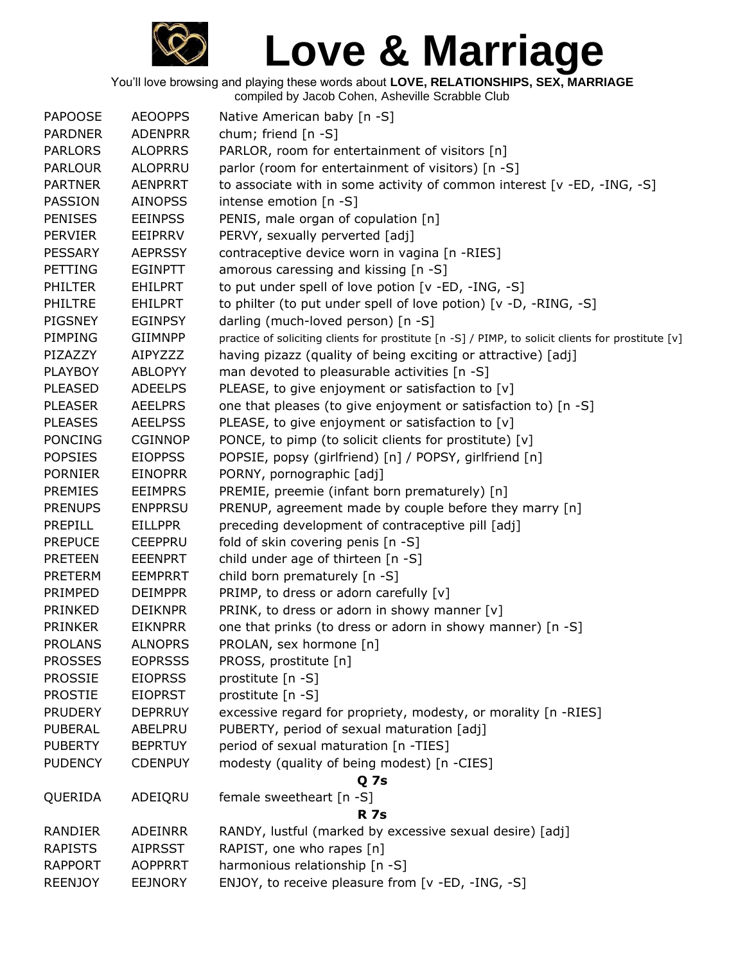

| <b>PAPOOSE</b> | <b>AEOOPPS</b> | Native American baby [n -S]                                                                        |
|----------------|----------------|----------------------------------------------------------------------------------------------------|
| <b>PARDNER</b> | <b>ADENPRR</b> | chum; friend $[n -S]$                                                                              |
| <b>PARLORS</b> | <b>ALOPRRS</b> | PARLOR, room for entertainment of visitors [n]                                                     |
| <b>PARLOUR</b> | <b>ALOPRRU</b> | parlor (room for entertainment of visitors) [n -S]                                                 |
| <b>PARTNER</b> | <b>AENPRRT</b> | to associate with in some activity of common interest [v -ED, -ING, -S]                            |
| PASSION        | <b>AINOPSS</b> | intense emotion [n -S]                                                                             |
| <b>PENISES</b> | <b>EEINPSS</b> | PENIS, male organ of copulation [n]                                                                |
| <b>PERVIER</b> | <b>EEIPRRV</b> | PERVY, sexually perverted [adj]                                                                    |
| <b>PESSARY</b> | <b>AEPRSSY</b> | contraceptive device worn in vagina [n -RIES]                                                      |
| <b>PETTING</b> | <b>EGINPTT</b> | amorous caressing and kissing [n -S]                                                               |
| <b>PHILTER</b> | <b>EHILPRT</b> | to put under spell of love potion [v -ED, -ING, -S]                                                |
| <b>PHILTRE</b> | <b>EHILPRT</b> | to philter (to put under spell of love potion) [v -D, -RING, -S]                                   |
| PIGSNEY        | <b>EGINPSY</b> | darling (much-loved person) [n -S]                                                                 |
| PIMPING        | <b>GIIMNPP</b> | practice of soliciting clients for prostitute [n -S] / PIMP, to solicit clients for prostitute [v] |
| PIZAZZY        | AIPYZZZ        | having pizazz (quality of being exciting or attractive) [adj]                                      |
| <b>PLAYBOY</b> | <b>ABLOPYY</b> | man devoted to pleasurable activities [n -S]                                                       |
| <b>PLEASED</b> | <b>ADEELPS</b> | PLEASE, to give enjoyment or satisfaction to [v]                                                   |
| <b>PLEASER</b> | <b>AEELPRS</b> | one that pleases (to give enjoyment or satisfaction to) [n -S]                                     |
| <b>PLEASES</b> | <b>AEELPSS</b> | PLEASE, to give enjoyment or satisfaction to [v]                                                   |
| <b>PONCING</b> | <b>CGINNOP</b> | PONCE, to pimp (to solicit clients for prostitute) [v]                                             |
| <b>POPSIES</b> | <b>EIOPPSS</b> | POPSIE, popsy (girlfriend) [n] / POPSY, girlfriend [n]                                             |
| <b>PORNIER</b> | <b>EINOPRR</b> | PORNY, pornographic [adj]                                                                          |
| <b>PREMIES</b> | <b>EEIMPRS</b> | PREMIE, preemie (infant born prematurely) [n]                                                      |
| <b>PRENUPS</b> | <b>ENPPRSU</b> | PRENUP, agreement made by couple before they marry [n]                                             |
| PREPILL        | <b>EILLPPR</b> | preceding development of contraceptive pill [adj]                                                  |
| <b>PREPUCE</b> | <b>CEEPPRU</b> | fold of skin covering penis [n -S]                                                                 |
| <b>PRETEEN</b> | <b>EEENPRT</b> | child under age of thirteen [n -S]                                                                 |
| <b>PRETERM</b> | <b>EEMPRRT</b> | child born prematurely [n -S]                                                                      |
| PRIMPED        | <b>DEIMPPR</b> | PRIMP, to dress or adorn carefully [v]                                                             |
| PRINKED        | <b>DEIKNPR</b> | PRINK, to dress or adorn in showy manner [v]                                                       |
| <b>PRINKER</b> | <b>EIKNPRR</b> | one that prinks (to dress or adorn in showy manner) [n -S]                                         |
| <b>PROLANS</b> | <b>ALNOPRS</b> | PROLAN, sex hormone [n]                                                                            |
| <b>PROSSES</b> | <b>EOPRSSS</b> | PROSS, prostitute [n]                                                                              |
| <b>PROSSIE</b> | <b>EIOPRSS</b> | prostitute [n -S]                                                                                  |
| <b>PROSTIE</b> | <b>EIOPRST</b> | prostitute [n -S]                                                                                  |
| <b>PRUDERY</b> | <b>DEPRRUY</b> | excessive regard for propriety, modesty, or morality [n -RIES]                                     |
| PUBERAL        | ABELPRU        | PUBERTY, period of sexual maturation [adj]                                                         |
| <b>PUBERTY</b> | <b>BEPRTUY</b> | period of sexual maturation [n -TIES]                                                              |
| <b>PUDENCY</b> | <b>CDENPUY</b> | modesty (quality of being modest) [n -CIES]                                                        |
|                |                | Q <sub>7s</sub>                                                                                    |
| QUERIDA        | ADEIQRU        | female sweetheart [n -S]                                                                           |
|                |                | <b>R</b> 7s                                                                                        |
| RANDIER        | ADEINRR        | RANDY, lustful (marked by excessive sexual desire) [adj]                                           |
| <b>RAPISTS</b> | <b>AIPRSST</b> | RAPIST, one who rapes [n]                                                                          |
| <b>RAPPORT</b> | <b>AOPPRRT</b> | harmonious relationship [n -S]                                                                     |
| <b>REENJOY</b> | <b>EEJNORY</b> | ENJOY, to receive pleasure from [v -ED, -ING, -S]                                                  |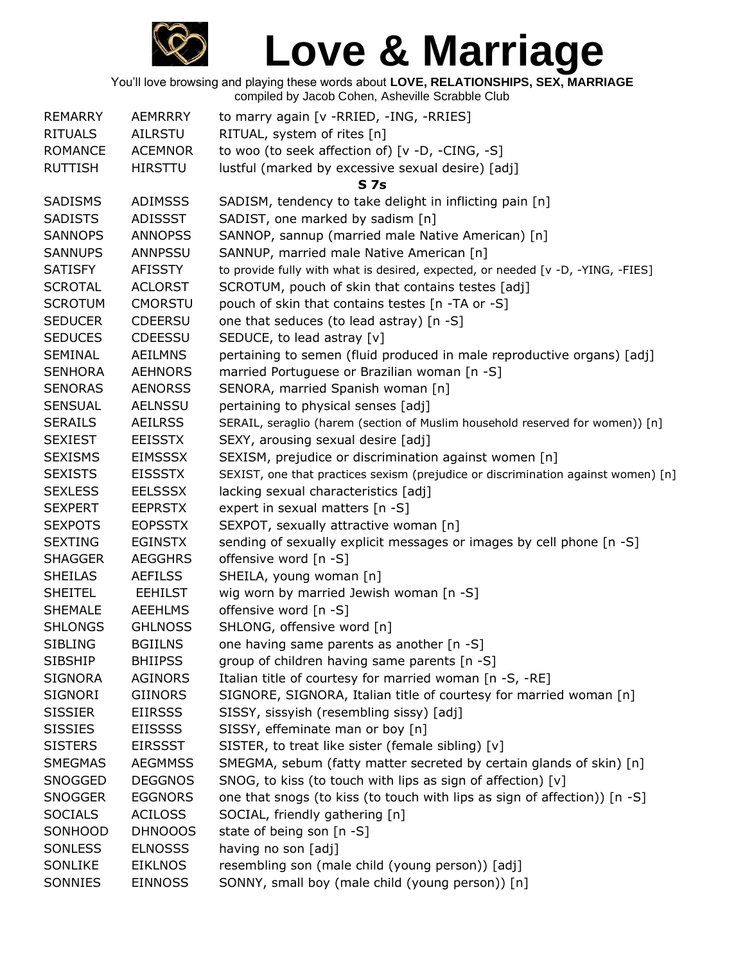

| <b>REMARRY</b> | <b>AEMRRRY</b> | to marry again [v - RRIED, - ING, - RRIES]                                        |
|----------------|----------------|-----------------------------------------------------------------------------------|
| <b>RITUALS</b> | <b>AILRSTU</b> | RITUAL, system of rites [n]                                                       |
| <b>ROMANCE</b> | <b>ACEMNOR</b> | to woo (to seek affection of) [v -D, -CING, -S]                                   |
| <b>RUTTISH</b> | <b>HIRSTTU</b> | lustful (marked by excessive sexual desire) [adj]                                 |
|                |                | S 7s                                                                              |
| <b>SADISMS</b> | <b>ADIMSSS</b> | SADISM, tendency to take delight in inflicting pain [n]                           |
| <b>SADISTS</b> | <b>ADISSST</b> | SADIST, one marked by sadism [n]                                                  |
| <b>SANNOPS</b> | <b>ANNOPSS</b> | SANNOP, sannup (married male Native American) [n]                                 |
| <b>SANNUPS</b> | <b>ANNPSSU</b> | SANNUP, married male Native American [n]                                          |
| <b>SATISFY</b> | <b>AFISSTY</b> | to provide fully with what is desired, expected, or needed [v -D, -YING, -FIES]   |
| <b>SCROTAL</b> | <b>ACLORST</b> | SCROTUM, pouch of skin that contains testes [adj]                                 |
| <b>SCROTUM</b> | <b>CMORSTU</b> | pouch of skin that contains testes [n -TA or -S]                                  |
| <b>SEDUCER</b> | <b>CDEERSU</b> | one that seduces (to lead astray) [n -S]                                          |
| <b>SEDUCES</b> | <b>CDEESSU</b> | SEDUCE, to lead astray [v]                                                        |
| <b>SEMINAL</b> | <b>AEILMNS</b> | pertaining to semen (fluid produced in male reproductive organs) [adj]            |
| <b>SENHORA</b> | <b>AEHNORS</b> | married Portuguese or Brazilian woman [n -S]                                      |
| <b>SENORAS</b> | <b>AENORSS</b> | SENORA, married Spanish woman [n]                                                 |
| <b>SENSUAL</b> | <b>AELNSSU</b> | pertaining to physical senses [adj]                                               |
| <b>SERAILS</b> | <b>AEILRSS</b> | SERAIL, seraglio (harem (section of Muslim household reserved for women)) [n]     |
| <b>SEXIEST</b> | <b>EEISSTX</b> | SEXY, arousing sexual desire [adj]                                                |
| <b>SEXISMS</b> | <b>EIMSSSX</b> | SEXISM, prejudice or discrimination against women [n]                             |
| <b>SEXISTS</b> | <b>EISSSTX</b> | SEXIST, one that practices sexism (prejudice or discrimination against women) [n] |
| <b>SEXLESS</b> | <b>EELSSSX</b> | lacking sexual characteristics [adj]                                              |
| <b>SEXPERT</b> | <b>EEPRSTX</b> | expert in sexual matters [n -S]                                                   |
| <b>SEXPOTS</b> | <b>EOPSSTX</b> | SEXPOT, sexually attractive woman [n]                                             |
| <b>SEXTING</b> | <b>EGINSTX</b> | sending of sexually explicit messages or images by cell phone [n -S]              |
| <b>SHAGGER</b> | <b>AEGGHRS</b> | offensive word [n -S]                                                             |
| <b>SHEILAS</b> | <b>AEFILSS</b> | SHEILA, young woman [n]                                                           |
| <b>SHEITEL</b> | <b>EEHILST</b> | wig worn by married Jewish woman [n -S]                                           |
| <b>SHEMALE</b> | <b>AEEHLMS</b> | offensive word [n -S]                                                             |
| <b>SHLONGS</b> | <b>GHLNOSS</b> | SHLONG, offensive word [n]                                                        |
| <b>SIBLING</b> | <b>BGIILNS</b> | one having same parents as another [n -S]                                         |
| <b>SIBSHIP</b> | <b>BHIIPSS</b> | group of children having same parents [n -S]                                      |
| <b>SIGNORA</b> | <b>AGINORS</b> | Italian title of courtesy for married woman [n -S, -RE]                           |
| <b>SIGNORI</b> | <b>GIINORS</b> | SIGNORE, SIGNORA, Italian title of courtesy for married woman [n]                 |
| <b>SISSIER</b> | <b>EIIRSSS</b> | SISSY, sissyish (resembling sissy) [adj]                                          |
| <b>SISSIES</b> | <b>EIISSSS</b> | SISSY, effeminate man or boy [n]                                                  |
| <b>SISTERS</b> | <b>EIRSSST</b> | SISTER, to treat like sister (female sibling) [v]                                 |
| <b>SMEGMAS</b> | <b>AEGMMSS</b> | SMEGMA, sebum (fatty matter secreted by certain glands of skin) [n]               |
| SNOGGED        | <b>DEGGNOS</b> | SNOG, to kiss (to touch with lips as sign of affection) [v]                       |
| <b>SNOGGER</b> | <b>EGGNORS</b> | one that snogs (to kiss (to touch with lips as sign of affection)) [n -S]         |
| <b>SOCIALS</b> | <b>ACILOSS</b> | SOCIAL, friendly gathering [n]                                                    |
| SONHOOD        | DHNOOOS        | state of being son [n -S]                                                         |
| <b>SONLESS</b> | <b>ELNOSSS</b> | having no son [adj]                                                               |
| SONLIKE        | <b>EIKLNOS</b> | resembling son (male child (young person)) [adj]                                  |
| SONNIES        | <b>EINNOSS</b> | SONNY, small boy (male child (young person)) [n]                                  |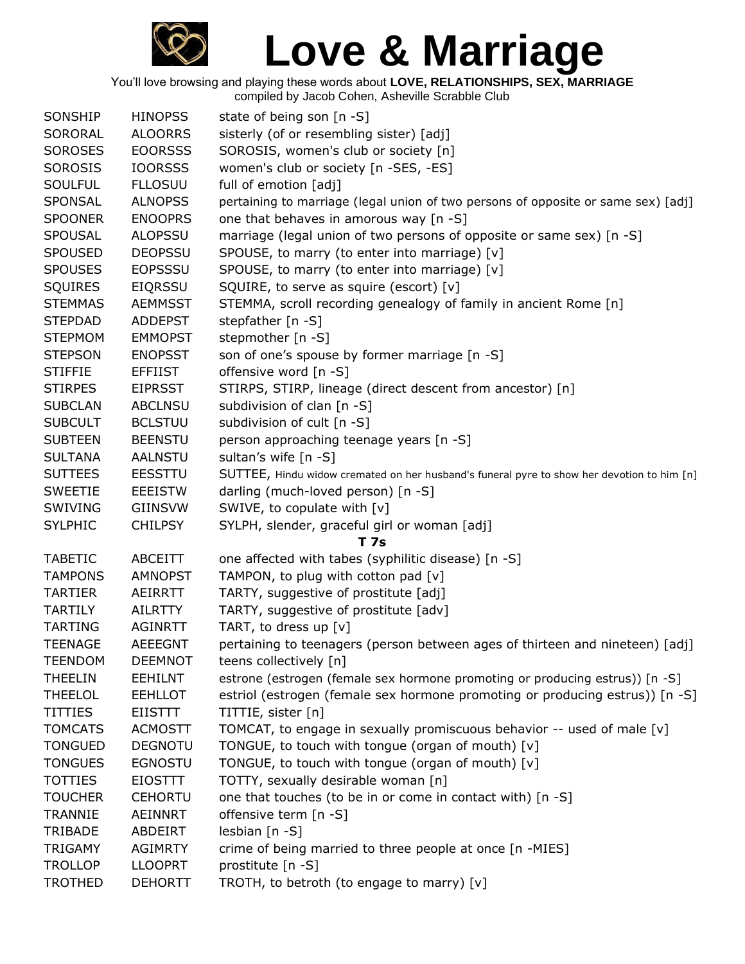

You'll love browsing and playing these words about **LOVE, RELATIONSHIPS, SEX, MARRIAGE**

compiled by Jacob Cohen, Asheville Scrabble Club

| SONSHIP        | <b>HINOPSS</b> | state of being son [n -S]                                                                  |
|----------------|----------------|--------------------------------------------------------------------------------------------|
| SORORAL        | <b>ALOORRS</b> | sisterly (of or resembling sister) [adj]                                                   |
| <b>SOROSES</b> | <b>EOORSSS</b> | SOROSIS, women's club or society [n]                                                       |
| SOROSIS        | <b>IOORSSS</b> | women's club or society [n -SES, -ES]                                                      |
| <b>SOULFUL</b> | <b>FLLOSUU</b> | full of emotion [adj]                                                                      |
| SPONSAL        | <b>ALNOPSS</b> | pertaining to marriage (legal union of two persons of opposite or same sex) [adj]          |
| <b>SPOONER</b> | <b>ENOOPRS</b> | one that behaves in amorous way [n -S]                                                     |
| <b>SPOUSAL</b> | <b>ALOPSSU</b> | marriage (legal union of two persons of opposite or same sex) [n -S]                       |
| <b>SPOUSED</b> | <b>DEOPSSU</b> | SPOUSE, to marry (to enter into marriage) [v]                                              |
| <b>SPOUSES</b> | <b>EOPSSSU</b> | SPOUSE, to marry (to enter into marriage) [v]                                              |
| <b>SQUIRES</b> | <b>EIQRSSU</b> | SQUIRE, to serve as squire (escort) [v]                                                    |
| <b>STEMMAS</b> | <b>AEMMSST</b> | STEMMA, scroll recording genealogy of family in ancient Rome [n]                           |
| <b>STEPDAD</b> | <b>ADDEPST</b> | stepfather [n -S]                                                                          |
| <b>STEPMOM</b> | <b>EMMOPST</b> | stepmother [n -S]                                                                          |
| <b>STEPSON</b> | <b>ENOPSST</b> | son of one's spouse by former marriage [n -S]                                              |
| <b>STIFFIE</b> | <b>EFFIIST</b> | offensive word [n -S]                                                                      |
| <b>STIRPES</b> | <b>EIPRSST</b> | STIRPS, STIRP, lineage (direct descent from ancestor) [n]                                  |
| <b>SUBCLAN</b> | <b>ABCLNSU</b> | subdivision of clan [n -S]                                                                 |
| <b>SUBCULT</b> | <b>BCLSTUU</b> | subdivision of cult [n -S]                                                                 |
| <b>SUBTEEN</b> | <b>BEENSTU</b> | person approaching teenage years [n -S]                                                    |
| <b>SULTANA</b> | <b>AALNSTU</b> | sultan's wife [n -S]                                                                       |
| <b>SUTTEES</b> | <b>EESSTTU</b> | SUTTEE, Hindu widow cremated on her husband's funeral pyre to show her devotion to him [n] |
| <b>SWEETIE</b> | <b>EEEISTW</b> | darling (much-loved person) [n -S]                                                         |
| SWIVING        | <b>GIINSVW</b> | SWIVE, to copulate with [v]                                                                |
| <b>SYLPHIC</b> | <b>CHILPSY</b> | SYLPH, slender, graceful girl or woman [adj]                                               |
|                |                | <b>T7s</b>                                                                                 |
| <b>TABETIC</b> | <b>ABCEITT</b> | one affected with tabes (syphilitic disease) [n -S]                                        |
| <b>TAMPONS</b> | <b>AMNOPST</b> | TAMPON, to plug with cotton pad [v]                                                        |
| <b>TARTIER</b> | AEIRRTT        | TARTY, suggestive of prostitute [adj]                                                      |
| <b>TARTILY</b> | <b>AILRTTY</b> | TARTY, suggestive of prostitute [adv]                                                      |
| <b>TARTING</b> | <b>AGINRTT</b> | TART, to dress up [v]                                                                      |
| <b>TEENAGE</b> | <b>AEEEGNT</b> | pertaining to teenagers (person between ages of thirteen and nineteen) [adj]               |
| <b>TEENDOM</b> | <b>DEEMNOT</b> | teens collectively [n]                                                                     |
| <b>THEELIN</b> | <b>EEHILNT</b> | estrone (estrogen (female sex hormone promoting or producing estrus)) [n -S]               |
| <b>THEELOL</b> | <b>EEHLLOT</b> | estriol (estrogen (female sex hormone promoting or producing estrus)) [n -S]               |
| <b>TITTIES</b> | EIISTTT        | TITTIE, sister [n]                                                                         |
| <b>TOMCATS</b> | <b>ACMOSTT</b> | TOMCAT, to engage in sexually promiscuous behavior -- used of male [v]                     |
| <b>TONGUED</b> | <b>DEGNOTU</b> | TONGUE, to touch with tongue (organ of mouth) [v]                                          |
| <b>TONGUES</b> | <b>EGNOSTU</b> | TONGUE, to touch with tongue (organ of mouth) [v]                                          |
| <b>TOTTIES</b> | <b>EIOSTTT</b> | TOTTY, sexually desirable woman [n]                                                        |
| <b>TOUCHER</b> | <b>CEHORTU</b> | one that touches (to be in or come in contact with) [n -S]                                 |
| <b>TRANNIE</b> | <b>AEINNRT</b> | offensive term [n -S]                                                                      |
| TRIBADE        | ABDEIRT        | lesbian [n -S]                                                                             |
| <b>TRIGAMY</b> | <b>AGIMRTY</b> | crime of being married to three people at once [n -MIES]                                   |
| <b>TROLLOP</b> | <b>LLOOPRT</b> | prostitute [n -S]                                                                          |
| <b>TROTHED</b> | <b>DEHORTT</b> | TROTH, to betroth (to engage to marry) [v]                                                 |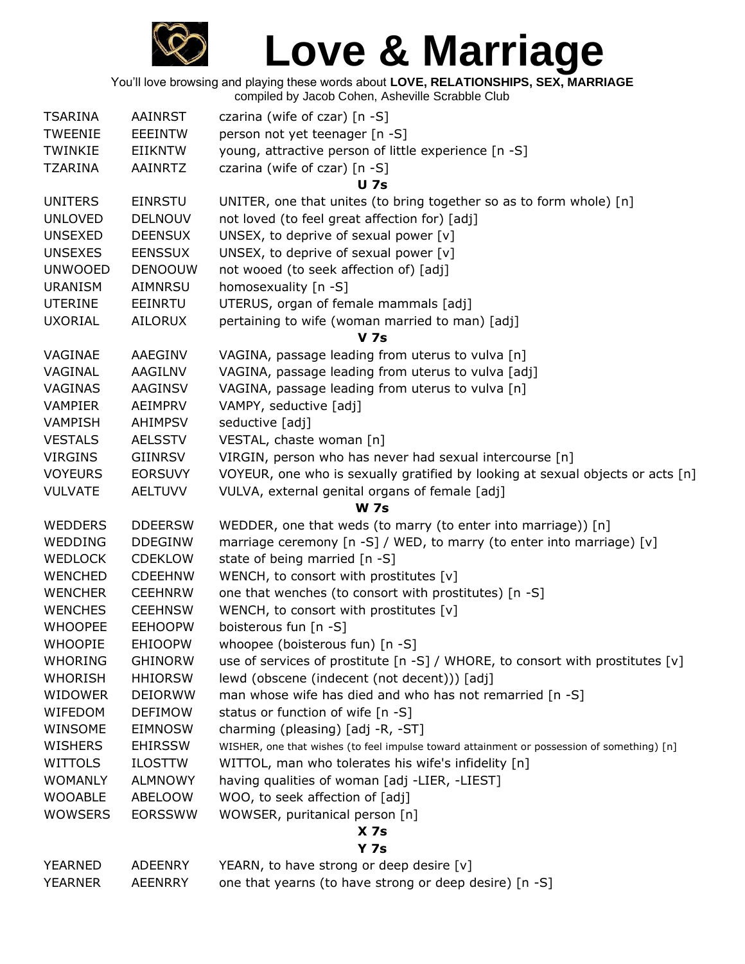

You'll love browsing and playing these words about **LOVE, RELATIONSHIPS, SEX, MARRIAGE** compiled by Jacob Cohen, Asheville Scrabble Club

| <b>TSARINA</b> | AAINRST        | czarina (wife of czar) $[n -S]$                                                            |
|----------------|----------------|--------------------------------------------------------------------------------------------|
| <b>TWEENIE</b> | <b>EEEINTW</b> | person not yet teenager [n -S]                                                             |
| TWINKIE        | EIIKNTW        | young, attractive person of little experience [n -S]                                       |
| TZARINA        | AAINRTZ        | czarina (wife of czar) [n -S]                                                              |
|                |                | <b>U</b> 7s                                                                                |
| <b>UNITERS</b> | <b>EINRSTU</b> | UNITER, one that unites (to bring together so as to form whole) [n]                        |
| <b>UNLOVED</b> | <b>DELNOUV</b> | not loved (to feel great affection for) [adj]                                              |
| <b>UNSEXED</b> | <b>DEENSUX</b> | UNSEX, to deprive of sexual power [v]                                                      |
| <b>UNSEXES</b> | <b>EENSSUX</b> | UNSEX, to deprive of sexual power [v]                                                      |
| <b>UNWOOED</b> | <b>DENOOUW</b> | not wooed (to seek affection of) [adj]                                                     |
| <b>URANISM</b> | AIMNRSU        | homosexuality [n -S]                                                                       |
| <b>UTERINE</b> | EEINRTU        | UTERUS, organ of female mammals [adj]                                                      |
| <b>UXORIAL</b> | <b>AILORUX</b> | pertaining to wife (woman married to man) [adj]                                            |
|                |                | <b>V</b> 7s                                                                                |
| VAGINAE        | AAEGINV        | VAGINA, passage leading from uterus to vulva [n]                                           |
| VAGINAL        | AAGILNV        | VAGINA, passage leading from uterus to vulva [adj]                                         |
| VAGINAS        | <b>AAGINSV</b> | VAGINA, passage leading from uterus to vulva [n]                                           |
| <b>VAMPIER</b> | AEIMPRV        | VAMPY, seductive [adj]                                                                     |
| <b>VAMPISH</b> | AHIMPSV        | seductive [adj]                                                                            |
| <b>VESTALS</b> | <b>AELSSTV</b> | VESTAL, chaste woman [n]                                                                   |
| <b>VIRGINS</b> | <b>GIINRSV</b> | VIRGIN, person who has never had sexual intercourse [n]                                    |
| <b>VOYEURS</b> | <b>EORSUVY</b> | VOYEUR, one who is sexually gratified by looking at sexual objects or acts [n]             |
| <b>VULVATE</b> | <b>AELTUVV</b> | VULVA, external genital organs of female [adj]                                             |
|                |                | <b>W</b> 7s                                                                                |
| <b>WEDDERS</b> | <b>DDEERSW</b> | WEDDER, one that weds (to marry (to enter into marriage)) [n]                              |
| WEDDING        | <b>DDEGINW</b> | marriage ceremony [n -S] / WED, to marry (to enter into marriage) [v]                      |
| <b>WEDLOCK</b> | <b>CDEKLOW</b> | state of being married [n -S]                                                              |
| <b>WENCHED</b> | <b>CDEEHNW</b> | WENCH, to consort with prostitutes [v]                                                     |
| <b>WENCHER</b> | <b>CEEHNRW</b> | one that wenches (to consort with prostitutes) [n -S]                                      |
| <b>WENCHES</b> | <b>CEEHNSW</b> | WENCH, to consort with prostitutes $[v]$                                                   |
| <b>WHOOPEE</b> | <b>EEHOOPW</b> | boisterous fun [n -S]                                                                      |
| <b>WHOOPIE</b> | <b>EHIOOPW</b> | whoopee (boisterous fun) [n -S]                                                            |
| <b>WHORING</b> | <b>GHINORW</b> | use of services of prostitute $[n -S]$ / WHORE, to consort with prostitutes $[v]$          |
| <b>WHORISH</b> | <b>HHIORSW</b> | lewd (obscene (indecent (not decent))) [adj]                                               |
| <b>WIDOWER</b> | <b>DEIORWW</b> | man whose wife has died and who has not remarried [n -S]                                   |
| WIFEDOM        | <b>DEFIMOW</b> | status or function of wife [n -S]                                                          |
| WINSOME        | EIMNOSW        | charming (pleasing) [adj -R, -ST]                                                          |
| <b>WISHERS</b> | <b>EHIRSSW</b> | WISHER, one that wishes (to feel impulse toward attainment or possession of something) [n] |
| <b>WITTOLS</b> | <b>ILOSTTW</b> | WITTOL, man who tolerates his wife's infidelity [n]                                        |
| <b>WOMANLY</b> | <b>ALMNOWY</b> | having qualities of woman [adj -LIER, -LIEST]                                              |
| <b>WOOABLE</b> | ABELOOW        | WOO, to seek affection of [adj]                                                            |
| <b>WOWSERS</b> | <b>EORSSWW</b> | WOWSER, puritanical person [n]                                                             |
|                |                | X <sub>7s</sub>                                                                            |
|                |                | <b>Y 7s</b>                                                                                |
| YEARNED        | ADEENRY        | YEARN, to have strong or deep desire [v]                                                   |

YEARNER AEENRRY one that yearns (to have strong or deep desire) [n -S]